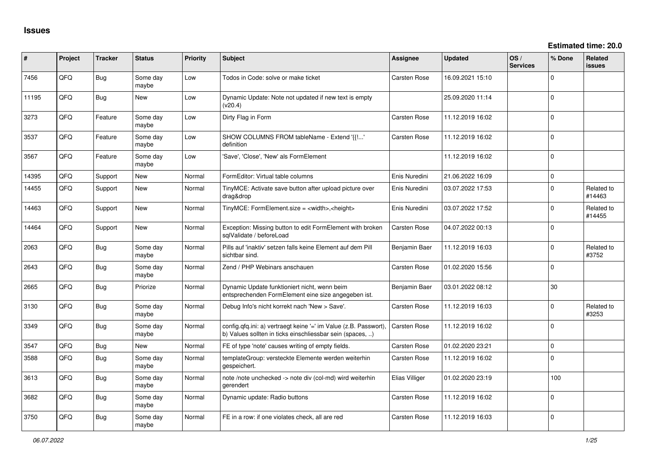| ∦     | Project | <b>Tracker</b> | <b>Status</b>     | <b>Priority</b> | <b>Subject</b>                                                                                                               | <b>Assignee</b>     | <b>Updated</b>   | OS/<br><b>Services</b> | % Done      | <b>Related</b><br><b>issues</b> |
|-------|---------|----------------|-------------------|-----------------|------------------------------------------------------------------------------------------------------------------------------|---------------------|------------------|------------------------|-------------|---------------------------------|
| 7456  | QFQ     | <b>Bug</b>     | Some day<br>maybe | Low             | Todos in Code: solve or make ticket                                                                                          | Carsten Rose        | 16.09.2021 15:10 |                        | 0           |                                 |
| 11195 | QFQ     | Bug            | New               | Low             | Dynamic Update: Note not updated if new text is empty<br>(v20.4)                                                             |                     | 25.09.2020 11:14 |                        | 0           |                                 |
| 3273  | QFQ     | Feature        | Some day<br>maybe | Low             | Dirty Flag in Form                                                                                                           | <b>Carsten Rose</b> | 11.12.2019 16:02 |                        | 0           |                                 |
| 3537  | QFQ     | Feature        | Some day<br>maybe | Low             | SHOW COLUMNS FROM tableName - Extend '{{!'<br>definition                                                                     | Carsten Rose        | 11.12.2019 16:02 |                        | $\mathbf 0$ |                                 |
| 3567  | QFQ     | Feature        | Some day<br>maybe | Low             | 'Save', 'Close', 'New' als FormElement                                                                                       |                     | 11.12.2019 16:02 |                        | $\mathbf 0$ |                                 |
| 14395 | QFQ     | Support        | New               | Normal          | FormEditor: Virtual table columns                                                                                            | Enis Nuredini       | 21.06.2022 16:09 |                        | $\mathbf 0$ |                                 |
| 14455 | QFQ     | Support        | New               | Normal          | TinyMCE: Activate save button after upload picture over<br>drag&drop                                                         | Enis Nuredini       | 03.07.2022 17:53 |                        | 0           | Related to<br>#14463            |
| 14463 | QFQ     | Support        | New               | Normal          | TinyMCE: FormElement.size = <width>,<height></height></width>                                                                | Enis Nuredini       | 03.07.2022 17:52 |                        | 0           | Related to<br>#14455            |
| 14464 | QFQ     | Support        | <b>New</b>        | Normal          | Exception: Missing button to edit FormElement with broken<br>sqlValidate / beforeLoad                                        | <b>Carsten Rose</b> | 04.07.2022 00:13 |                        | 0           |                                 |
| 2063  | QFQ     | <b>Bug</b>     | Some day<br>maybe | Normal          | Pills auf 'inaktiv' setzen falls keine Element auf dem Pill<br>sichtbar sind.                                                | Benjamin Baer       | 11.12.2019 16:03 |                        | 0           | Related to<br>#3752             |
| 2643  | QFQ     | Bug            | Some day<br>maybe | Normal          | Zend / PHP Webinars anschauen                                                                                                | Carsten Rose        | 01.02.2020 15:56 |                        | 0           |                                 |
| 2665  | QFQ     | Bug            | Priorize          | Normal          | Dynamic Update funktioniert nicht, wenn beim<br>entsprechenden FormElement eine size angegeben ist.                          | Benjamin Baer       | 03.01.2022 08:12 |                        | 30          |                                 |
| 3130  | QFQ     | Bug            | Some day<br>maybe | Normal          | Debug Info's nicht korrekt nach 'New > Save'.                                                                                | <b>Carsten Rose</b> | 11.12.2019 16:03 |                        | $\mathbf 0$ | Related to<br>#3253             |
| 3349  | QFQ     | Bug            | Some dav<br>maybe | Normal          | config.qfq.ini: a) vertraegt keine '=' im Value (z.B. Passwort)<br>b) Values sollten in ticks einschliessbar sein (spaces, ) | <b>Carsten Rose</b> | 11.12.2019 16:02 |                        | $\mathbf 0$ |                                 |
| 3547  | QFQ     | Bug            | New               | Normal          | FE of type 'note' causes writing of empty fields.                                                                            | Carsten Rose        | 01.02.2020 23:21 |                        | 0           |                                 |
| 3588  | QFQ     | Bug            | Some dav<br>maybe | Normal          | templateGroup: versteckte Elemente werden weiterhin<br>gespeichert.                                                          | Carsten Rose        | 11.12.2019 16:02 |                        | 0           |                                 |
| 3613  | QFQ     | Bug            | Some day<br>maybe | Normal          | note /note unchecked -> note div (col-md) wird weiterhin<br>gerendert                                                        | Elias Villiger      | 01.02.2020 23:19 |                        | 100         |                                 |
| 3682  | QFQ     | Bug            | Some day<br>maybe | Normal          | Dynamic update: Radio buttons                                                                                                | <b>Carsten Rose</b> | 11.12.2019 16:02 |                        | $\mathbf 0$ |                                 |
| 3750  | QFQ     | Bug            | Some dav<br>maybe | Normal          | FE in a row: if one violates check, all are red                                                                              | Carsten Rose        | 11.12.2019 16:03 |                        | $\Omega$    |                                 |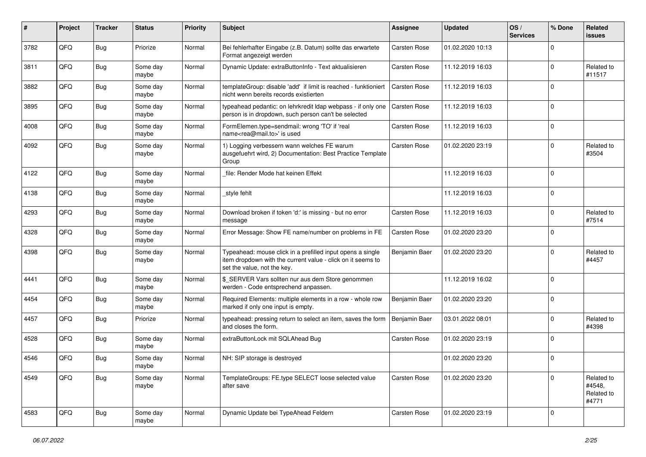| #    | Project | <b>Tracker</b> | <b>Status</b>     | <b>Priority</b> | Subject                                                                                                                                                  | <b>Assignee</b>     | <b>Updated</b>   | OS/<br><b>Services</b> | % Done      | Related<br><b>issues</b>                    |
|------|---------|----------------|-------------------|-----------------|----------------------------------------------------------------------------------------------------------------------------------------------------------|---------------------|------------------|------------------------|-------------|---------------------------------------------|
| 3782 | QFQ     | <b>Bug</b>     | Priorize          | Normal          | Bei fehlerhafter Eingabe (z.B. Datum) sollte das erwartete<br>Format angezeigt werden                                                                    | <b>Carsten Rose</b> | 01.02.2020 10:13 |                        | $\Omega$    |                                             |
| 3811 | QFQ     | Bug            | Some day<br>maybe | Normal          | Dynamic Update: extraButtonInfo - Text aktualisieren                                                                                                     | <b>Carsten Rose</b> | 11.12.2019 16:03 |                        | $\Omega$    | Related to<br>#11517                        |
| 3882 | QFQ     | <b>Bug</b>     | Some day<br>maybe | Normal          | templateGroup: disable 'add' if limit is reached - funktioniert<br>nicht wenn bereits records existierten                                                | <b>Carsten Rose</b> | 11.12.2019 16:03 |                        | $\Omega$    |                                             |
| 3895 | QFQ     | <b>Bug</b>     | Some day<br>maybe | Normal          | typeahead pedantic: on lehrkredit Idap webpass - if only one<br>person is in dropdown, such person can't be selected                                     | <b>Carsten Rose</b> | 11.12.2019 16:03 |                        | $\Omega$    |                                             |
| 4008 | QFQ     | <b>Bug</b>     | Some day<br>maybe | Normal          | FormElemen.type=sendmail: wrong 'TO' if 'real<br>name <rea@mail.to>' is used</rea@mail.to>                                                               | Carsten Rose        | 11.12.2019 16:03 |                        | $\mathbf 0$ |                                             |
| 4092 | QFQ     | Bug            | Some day<br>maybe | Normal          | 1) Logging verbessern wann welches FE warum<br>ausgefuehrt wird, 2) Documentation: Best Practice Template<br>Group                                       | Carsten Rose        | 01.02.2020 23:19 |                        | $\Omega$    | Related to<br>#3504                         |
| 4122 | QFQ     | <b>Bug</b>     | Some day<br>maybe | Normal          | file: Render Mode hat keinen Effekt                                                                                                                      |                     | 11.12.2019 16:03 |                        | $\Omega$    |                                             |
| 4138 | QFQ     | <b>Bug</b>     | Some day<br>maybe | Normal          | _style fehlt                                                                                                                                             |                     | 11.12.2019 16:03 |                        | $\Omega$    |                                             |
| 4293 | QFQ     | <b>Bug</b>     | Some day<br>maybe | Normal          | Download broken if token 'd:' is missing - but no error<br>message                                                                                       | Carsten Rose        | 11.12.2019 16:03 |                        | $\Omega$    | Related to<br>#7514                         |
| 4328 | QFQ     | Bug            | Some day<br>maybe | Normal          | Error Message: Show FE name/number on problems in FE                                                                                                     | <b>Carsten Rose</b> | 01.02.2020 23:20 |                        | $\mathbf 0$ |                                             |
| 4398 | QFQ     | <b>Bug</b>     | Some day<br>maybe | Normal          | Typeahead: mouse click in a prefilled input opens a single<br>item dropdown with the current value - click on it seems to<br>set the value, not the key. | Benjamin Baer       | 01.02.2020 23:20 |                        | $\Omega$    | Related to<br>#4457                         |
| 4441 | QFQ     | Bug            | Some day<br>maybe | Normal          | \$_SERVER Vars sollten nur aus dem Store genommen<br>werden - Code entsprechend anpassen.                                                                |                     | 11.12.2019 16:02 |                        | $\Omega$    |                                             |
| 4454 | QFQ     | Bug            | Some day<br>maybe | Normal          | Required Elements: multiple elements in a row - whole row<br>marked if only one input is empty.                                                          | Benjamin Baer       | 01.02.2020 23:20 |                        | $\Omega$    |                                             |
| 4457 | QFQ     | <b>Bug</b>     | Priorize          | Normal          | typeahead: pressing return to select an item, saves the form<br>and closes the form.                                                                     | Benjamin Baer       | 03.01.2022 08:01 |                        | $\Omega$    | Related to<br>#4398                         |
| 4528 | QFQ     | <b>Bug</b>     | Some day<br>maybe | Normal          | extraButtonLock mit SQLAhead Bug                                                                                                                         | Carsten Rose        | 01.02.2020 23:19 |                        | $\Omega$    |                                             |
| 4546 | QFQ     | <b>Bug</b>     | Some day<br>maybe | Normal          | NH: SIP storage is destroyed                                                                                                                             |                     | 01.02.2020 23:20 |                        | $\Omega$    |                                             |
| 4549 | QFQ     | <b>Bug</b>     | Some day<br>maybe | Normal          | TemplateGroups: FE.type SELECT loose selected value<br>after save                                                                                        | Carsten Rose        | 01.02.2020 23:20 |                        | $\Omega$    | Related to<br>#4548,<br>Related to<br>#4771 |
| 4583 | QFQ     | <b>Bug</b>     | Some day<br>maybe | Normal          | Dynamic Update bei TypeAhead Feldern                                                                                                                     | Carsten Rose        | 01.02.2020 23:19 |                        | $\Omega$    |                                             |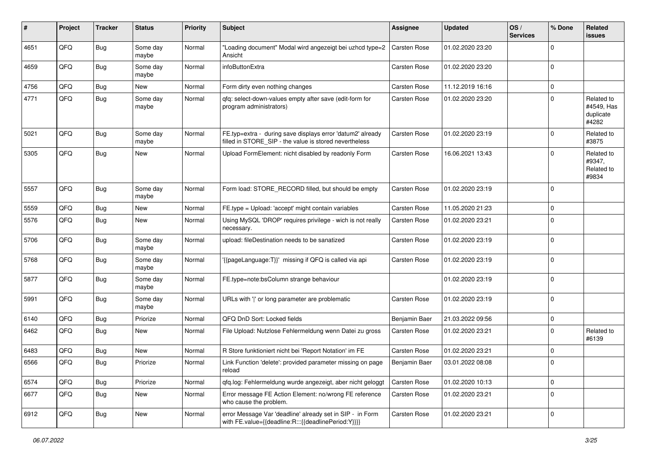| #    | Project | <b>Tracker</b> | <b>Status</b>     | <b>Priority</b> | <b>Subject</b>                                                                                                       | Assignee            | <b>Updated</b>   | OS/<br><b>Services</b> | % Done      | Related<br><b>issues</b>                       |
|------|---------|----------------|-------------------|-----------------|----------------------------------------------------------------------------------------------------------------------|---------------------|------------------|------------------------|-------------|------------------------------------------------|
| 4651 | QFQ     | Bug            | Some day<br>maybe | Normal          | "Loading document" Modal wird angezeigt bei uzhcd type=2<br>Ansicht                                                  | <b>Carsten Rose</b> | 01.02.2020 23:20 |                        | $\Omega$    |                                                |
| 4659 | QFQ     | Bug            | Some day<br>maybe | Normal          | infoButtonExtra                                                                                                      | Carsten Rose        | 01.02.2020 23:20 |                        | $\mathbf 0$ |                                                |
| 4756 | QFQ     | Bug            | New               | Normal          | Form dirty even nothing changes                                                                                      | Carsten Rose        | 11.12.2019 16:16 |                        | $\Omega$    |                                                |
| 4771 | QFQ     | <b>Bug</b>     | Some day<br>maybe | Normal          | qfq: select-down-values empty after save (edit-form for<br>program administrators)                                   | Carsten Rose        | 01.02.2020 23:20 |                        | $\Omega$    | Related to<br>#4549, Has<br>duplicate<br>#4282 |
| 5021 | QFQ     | <b>Bug</b>     | Some day<br>maybe | Normal          | FE.typ=extra - during save displays error 'datum2' already<br>filled in STORE_SIP - the value is stored nevertheless | Carsten Rose        | 01.02.2020 23:19 |                        | 0           | Related to<br>#3875                            |
| 5305 | QFQ     | <b>Bug</b>     | New               | Normal          | Upload FormElement: nicht disabled by readonly Form                                                                  | Carsten Rose        | 16.06.2021 13:43 |                        | $\Omega$    | Related to<br>#9347,<br>Related to<br>#9834    |
| 5557 | QFQ     | Bug            | Some day<br>maybe | Normal          | Form load: STORE_RECORD filled, but should be empty                                                                  | Carsten Rose        | 01.02.2020 23:19 |                        | $\Omega$    |                                                |
| 5559 | QFQ     | Bug            | New               | Normal          | FE.type = Upload: 'accept' might contain variables                                                                   | Carsten Rose        | 11.05.2020 21:23 |                        | $\mathbf 0$ |                                                |
| 5576 | QFQ     | Bug            | New               | Normal          | Using MySQL 'DROP' requires privilege - wich is not really<br>necessary.                                             | Carsten Rose        | 01.02.2020 23:21 |                        | $\Omega$    |                                                |
| 5706 | QFQ     | Bug            | Some day<br>maybe | Normal          | upload: fileDestination needs to be sanatized                                                                        | Carsten Rose        | 01.02.2020 23:19 |                        | $\mathbf 0$ |                                                |
| 5768 | QFQ     | Bug            | Some day<br>maybe | Normal          | '{{pageLanguage:T}}' missing if QFQ is called via api                                                                | Carsten Rose        | 01.02.2020 23:19 |                        | $\mathbf 0$ |                                                |
| 5877 | QFQ     | Bug            | Some day<br>maybe | Normal          | FE.type=note:bsColumn strange behaviour                                                                              |                     | 01.02.2020 23:19 |                        | $\Omega$    |                                                |
| 5991 | QFQ     | Bug            | Some day<br>maybe | Normal          | URLs with ' ' or long parameter are problematic                                                                      | Carsten Rose        | 01.02.2020 23:19 |                        | $\Omega$    |                                                |
| 6140 | QFQ     | Bug            | Priorize          | Normal          | QFQ DnD Sort: Locked fields                                                                                          | Benjamin Baer       | 21.03.2022 09:56 |                        | $\mathbf 0$ |                                                |
| 6462 | QFQ     | Bug            | New               | Normal          | File Upload: Nutzlose Fehlermeldung wenn Datei zu gross                                                              | Carsten Rose        | 01.02.2020 23:21 |                        | 0           | Related to<br>#6139                            |
| 6483 | QFQ     | <b>Bug</b>     | New               | Normal          | R Store funktioniert nicht bei 'Report Notation' im FE                                                               | <b>Carsten Rose</b> | 01.02.2020 23:21 |                        | $\Omega$    |                                                |
| 6566 | QFQ     | Bug            | Priorize          | Normal          | Link Function 'delete': provided parameter missing on page<br>reload                                                 | Benjamin Baer       | 03.01.2022 08:08 |                        | $\Omega$    |                                                |
| 6574 | QFQ     | <b>Bug</b>     | Priorize          | Normal          | qfq.log: Fehlermeldung wurde angezeigt, aber nicht geloggt                                                           | Carsten Rose        | 01.02.2020 10:13 |                        | $\mathbf 0$ |                                                |
| 6677 | QFQ     | <b>Bug</b>     | New               | Normal          | Error message FE Action Element: no/wrong FE reference<br>who cause the problem.                                     | Carsten Rose        | 01.02.2020 23:21 |                        | $\mathbf 0$ |                                                |
| 6912 | QFQ     | Bug            | New               | Normal          | error Message Var 'deadline' already set in SIP - in Form<br>with FE.value={{deadline:R:::{{deadlinePeriod:Y}}}}     | Carsten Rose        | 01.02.2020 23:21 |                        | $\mathbf 0$ |                                                |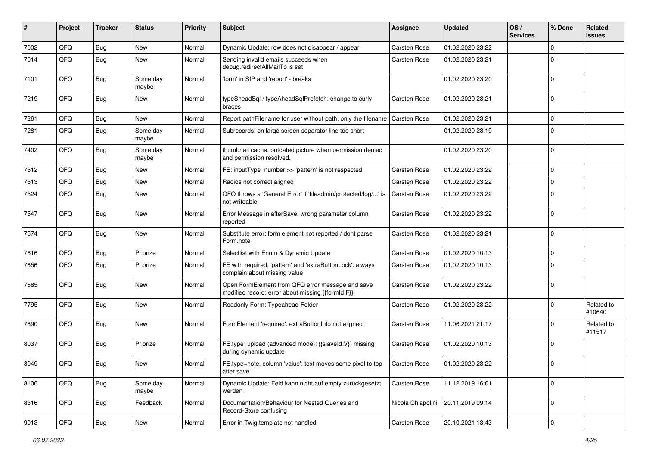| #    | Project | <b>Tracker</b> | <b>Status</b>     | <b>Priority</b> | <b>Subject</b>                                                                                        | <b>Assignee</b>     | <b>Updated</b>   | OS/<br><b>Services</b> | % Done      | Related<br>issues    |
|------|---------|----------------|-------------------|-----------------|-------------------------------------------------------------------------------------------------------|---------------------|------------------|------------------------|-------------|----------------------|
| 7002 | QFQ     | <b>Bug</b>     | New               | Normal          | Dynamic Update: row does not disappear / appear                                                       | <b>Carsten Rose</b> | 01.02.2020 23:22 |                        | $\mathbf 0$ |                      |
| 7014 | QFQ     | Bug            | New               | Normal          | Sending invalid emails succeeds when<br>debug.redirectAllMailTo is set                                | Carsten Rose        | 01.02.2020 23:21 |                        | 0           |                      |
| 7101 | QFQ     | <b>Bug</b>     | Some day<br>maybe | Normal          | 'form' in SIP and 'report' - breaks                                                                   |                     | 01.02.2020 23:20 |                        | $\mathbf 0$ |                      |
| 7219 | QFQ     | <b>Bug</b>     | New               | Normal          | typeSheadSql / typeAheadSqlPrefetch: change to curly<br>braces                                        | <b>Carsten Rose</b> | 01.02.2020 23:21 |                        | 0           |                      |
| 7261 | QFQ     | <b>Bug</b>     | New               | Normal          | Report pathFilename for user without path, only the filename                                          | <b>Carsten Rose</b> | 01.02.2020 23:21 |                        | $\mathbf 0$ |                      |
| 7281 | QFQ     | <b>Bug</b>     | Some day<br>maybe | Normal          | Subrecords: on large screen separator line too short                                                  |                     | 01.02.2020 23:19 |                        | 0           |                      |
| 7402 | QFQ     | <b>Bug</b>     | Some day<br>maybe | Normal          | thumbnail cache: outdated picture when permission denied<br>and permission resolved.                  |                     | 01.02.2020 23:20 |                        | $\mathbf 0$ |                      |
| 7512 | QFQ     | <b>Bug</b>     | New               | Normal          | FE: inputType=number >> 'pattern' is not respected                                                    | <b>Carsten Rose</b> | 01.02.2020 23:22 |                        | $\mathbf 0$ |                      |
| 7513 | QFQ     | Bug            | New               | Normal          | Radios not correct aligned                                                                            | <b>Carsten Rose</b> | 01.02.2020 23:22 |                        | 0           |                      |
| 7524 | QFQ     | <b>Bug</b>     | New               | Normal          | QFQ throws a 'General Error' if 'fileadmin/protected/log/' is<br>not writeable                        | <b>Carsten Rose</b> | 01.02.2020 23:22 |                        | $\mathbf 0$ |                      |
| 7547 | QFQ     | <b>Bug</b>     | New               | Normal          | Error Message in afterSave: wrong parameter column<br>reported                                        | <b>Carsten Rose</b> | 01.02.2020 23:22 |                        | $\mathbf 0$ |                      |
| 7574 | QFQ     | Bug            | New               | Normal          | Substitute error: form element not reported / dont parse<br>Form.note                                 | <b>Carsten Rose</b> | 01.02.2020 23:21 |                        | $\mathbf 0$ |                      |
| 7616 | QFQ     | Bug            | Priorize          | Normal          | Selectlist with Enum & Dynamic Update                                                                 | <b>Carsten Rose</b> | 01.02.2020 10:13 |                        | $\mathbf 0$ |                      |
| 7656 | QFQ     | <b>Bug</b>     | Priorize          | Normal          | FE with required, 'pattern' and 'extraButtonLock': always<br>complain about missing value             | <b>Carsten Rose</b> | 01.02.2020 10:13 |                        | $\mathbf 0$ |                      |
| 7685 | QFQ     | <b>Bug</b>     | New               | Normal          | Open FormElement from QFQ error message and save<br>modified record: error about missing {{formId:F}} | <b>Carsten Rose</b> | 01.02.2020 23:22 |                        | 0           |                      |
| 7795 | QFQ     | <b>Bug</b>     | New               | Normal          | Readonly Form: Typeahead-Felder                                                                       | Carsten Rose        | 01.02.2020 23:22 |                        | $\mathbf 0$ | Related to<br>#10640 |
| 7890 | QFQ     | Bug            | New               | Normal          | FormElement 'required': extraButtonInfo not aligned                                                   | <b>Carsten Rose</b> | 11.06.2021 21:17 |                        | $\mathbf 0$ | Related to<br>#11517 |
| 8037 | QFQ     | Bug            | Priorize          | Normal          | FE.type=upload (advanced mode): {{slaveld:V}} missing<br>during dynamic update                        | Carsten Rose        | 01.02.2020 10:13 |                        | $\mathbf 0$ |                      |
| 8049 | QFQ     | <b>Bug</b>     | New               | Normal          | FE.type=note, column 'value': text moves some pixel to top<br>after save                              | Carsten Rose        | 01.02.2020 23:22 |                        | $\Omega$    |                      |
| 8106 | QFQ     | <b>Bug</b>     | Some day<br>maybe | Normal          | Dynamic Update: Feld kann nicht auf empty zurückgesetzt<br>werden                                     | <b>Carsten Rose</b> | 11.12.2019 16:01 |                        | 0           |                      |
| 8316 | QFQ     | <b>Bug</b>     | Feedback          | Normal          | Documentation/Behaviour for Nested Queries and<br>Record-Store confusing                              | Nicola Chiapolini   | 20.11.2019 09:14 |                        | 0           |                      |
| 9013 | QFQ     | Bug            | New               | Normal          | Error in Twig template not handled                                                                    | Carsten Rose        | 20.10.2021 13:43 |                        | 0           |                      |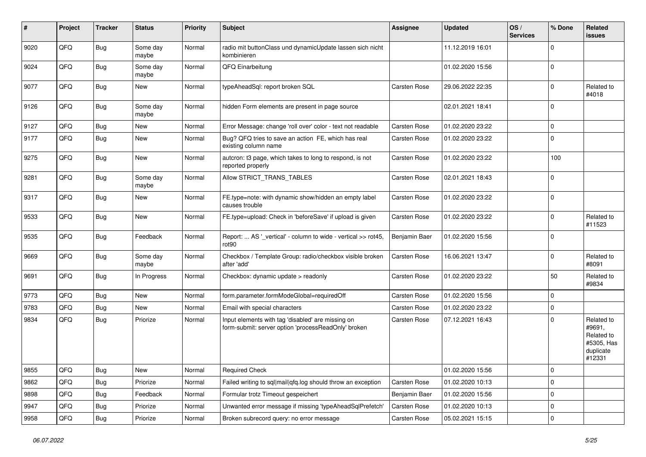| #    | Project | <b>Tracker</b> | <b>Status</b>     | <b>Priority</b> | <b>Subject</b>                                                                                           | Assignee            | <b>Updated</b>   | OS/<br><b>Services</b> | % Done      | Related<br>issues                                                       |
|------|---------|----------------|-------------------|-----------------|----------------------------------------------------------------------------------------------------------|---------------------|------------------|------------------------|-------------|-------------------------------------------------------------------------|
| 9020 | QFQ     | Bug            | Some day<br>maybe | Normal          | radio mit buttonClass und dynamicUpdate lassen sich nicht<br>kombinieren                                 |                     | 11.12.2019 16:01 |                        | $\Omega$    |                                                                         |
| 9024 | QFQ     | Bug            | Some day<br>maybe | Normal          | QFQ Einarbeitung                                                                                         |                     | 01.02.2020 15:56 |                        | $\mathbf 0$ |                                                                         |
| 9077 | QFQ     | Bug            | <b>New</b>        | Normal          | typeAheadSql: report broken SQL                                                                          | <b>Carsten Rose</b> | 29.06.2022 22:35 |                        | $\Omega$    | Related to<br>#4018                                                     |
| 9126 | QFQ     | <b>Bug</b>     | Some day<br>maybe | Normal          | hidden Form elements are present in page source                                                          |                     | 02.01.2021 18:41 |                        | $\Omega$    |                                                                         |
| 9127 | QFQ     | Bug            | <b>New</b>        | Normal          | Error Message: change 'roll over' color - text not readable                                              | <b>Carsten Rose</b> | 01.02.2020 23:22 |                        | 0           |                                                                         |
| 9177 | QFQ     | Bug            | New               | Normal          | Bug? QFQ tries to save an action FE, which has real<br>existing column name                              | <b>Carsten Rose</b> | 01.02.2020 23:22 |                        | $\Omega$    |                                                                         |
| 9275 | QFQ     | Bug            | <b>New</b>        | Normal          | autcron: t3 page, which takes to long to respond, is not<br>reported properly                            | <b>Carsten Rose</b> | 01.02.2020 23:22 |                        | 100         |                                                                         |
| 9281 | QFQ     | Bug            | Some day<br>maybe | Normal          | Allow STRICT_TRANS_TABLES                                                                                | <b>Carsten Rose</b> | 02.01.2021 18:43 |                        | $\Omega$    |                                                                         |
| 9317 | QFQ     | Bug            | New               | Normal          | FE.type=note: with dynamic show/hidden an empty label<br>causes trouble                                  | <b>Carsten Rose</b> | 01.02.2020 23:22 |                        | $\Omega$    |                                                                         |
| 9533 | QFQ     | Bug            | New               | Normal          | FE.type=upload: Check in 'beforeSave' if upload is given                                                 | <b>Carsten Rose</b> | 01.02.2020 23:22 |                        | $\mathbf 0$ | Related to<br>#11523                                                    |
| 9535 | QFQ     | Bug            | Feedback          | Normal          | Report:  AS ' vertical' - column to wide - vertical >> rot45,<br>rot <sub>90</sub>                       | Benjamin Baer       | 01.02.2020 15:56 |                        | $\Omega$    |                                                                         |
| 9669 | QFQ     | <b>Bug</b>     | Some day<br>maybe | Normal          | Checkbox / Template Group: radio/checkbox visible broken<br>after 'add'                                  | <b>Carsten Rose</b> | 16.06.2021 13:47 |                        | $\mathbf 0$ | Related to<br>#8091                                                     |
| 9691 | QFQ     | Bug            | In Progress       | Normal          | Checkbox: dynamic update > readonly                                                                      | <b>Carsten Rose</b> | 01.02.2020 23:22 |                        | 50          | Related to<br>#9834                                                     |
| 9773 | QFQ     | <b>Bug</b>     | <b>New</b>        | Normal          | form.parameter.formModeGlobal=requiredOff                                                                | <b>Carsten Rose</b> | 01.02.2020 15:56 |                        | $\Omega$    |                                                                         |
| 9783 | QFQ     | <b>Bug</b>     | <b>New</b>        | Normal          | Email with special characters                                                                            | <b>Carsten Rose</b> | 01.02.2020 23:22 |                        | $\mathbf 0$ |                                                                         |
| 9834 | QFQ     | <b>Bug</b>     | Priorize          | Normal          | Input elements with tag 'disabled' are missing on<br>form-submit: server option 'processReadOnly' broken | <b>Carsten Rose</b> | 07.12.2021 16:43 |                        | $\Omega$    | Related to<br>#9691,<br>Related to<br>#5305, Has<br>duplicate<br>#12331 |
| 9855 | QFQ     | <b>Bug</b>     | <b>New</b>        | Normal          | <b>Required Check</b>                                                                                    |                     | 01.02.2020 15:56 |                        | $\Omega$    |                                                                         |
| 9862 | QFQ     | Bug            | Priorize          | Normal          | Failed writing to sql mail qfq.log should throw an exception                                             | <b>Carsten Rose</b> | 01.02.2020 10:13 |                        | $\Omega$    |                                                                         |
| 9898 | QFQ     | Bug            | Feedback          | Normal          | Formular trotz Timeout gespeichert                                                                       | Benjamin Baer       | 01.02.2020 15:56 |                        | $\Omega$    |                                                                         |
| 9947 | QFQ     | <b>Bug</b>     | Priorize          | Normal          | Unwanted error message if missing 'typeAheadSqlPrefetch'                                                 | <b>Carsten Rose</b> | 01.02.2020 10:13 |                        | $\Omega$    |                                                                         |
| 9958 | QFQ     | <b>Bug</b>     | Priorize          | Normal          | Broken subrecord query: no error message                                                                 | <b>Carsten Rose</b> | 05.02.2021 15:15 |                        | $\Omega$    |                                                                         |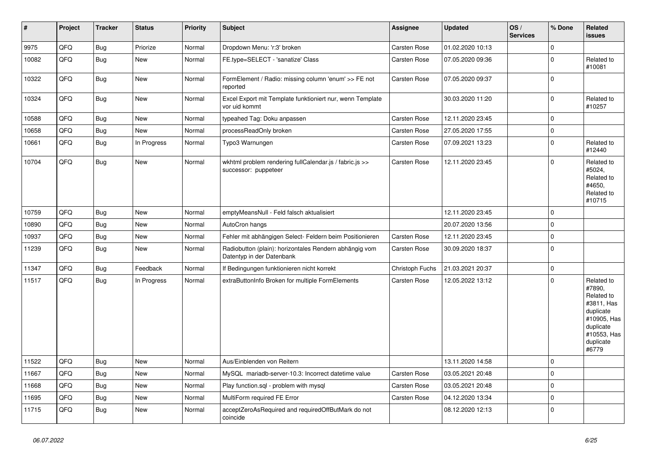| $\vert$ # | Project | <b>Tracker</b> | <b>Status</b> | <b>Priority</b> | <b>Subject</b>                                                                      | Assignee            | <b>Updated</b>   | OS/<br><b>Services</b> | % Done      | <b>Related</b><br><b>issues</b>                                                                                                |
|-----------|---------|----------------|---------------|-----------------|-------------------------------------------------------------------------------------|---------------------|------------------|------------------------|-------------|--------------------------------------------------------------------------------------------------------------------------------|
| 9975      | QFQ     | <b>Bug</b>     | Priorize      | Normal          | Dropdown Menu: 'r:3' broken                                                         | Carsten Rose        | 01.02.2020 10:13 |                        | $\mathbf 0$ |                                                                                                                                |
| 10082     | QFQ     | <b>Bug</b>     | New           | Normal          | FE.type=SELECT - 'sanatize' Class                                                   | Carsten Rose        | 07.05.2020 09:36 |                        | $\mathbf 0$ | Related to<br>#10081                                                                                                           |
| 10322     | QFQ     | Bug            | <b>New</b>    | Normal          | FormElement / Radio: missing column 'enum' >> FE not<br>reported                    | <b>Carsten Rose</b> | 07.05.2020 09:37 |                        | 0           |                                                                                                                                |
| 10324     | QFQ     | <b>Bug</b>     | <b>New</b>    | Normal          | Excel Export mit Template funktioniert nur, wenn Template<br>vor uid kommt          |                     | 30.03.2020 11:20 |                        | $\pmb{0}$   | Related to<br>#10257                                                                                                           |
| 10588     | QFQ     | Bug            | New           | Normal          | typeahed Tag: Doku anpassen                                                         | Carsten Rose        | 12.11.2020 23:45 |                        | $\mathbf 0$ |                                                                                                                                |
| 10658     | QFQ     | <b>Bug</b>     | New           | Normal          | processReadOnly broken                                                              | Carsten Rose        | 27.05.2020 17:55 |                        | 0           |                                                                                                                                |
| 10661     | QFQ     | <b>Bug</b>     | In Progress   | Normal          | Typo3 Warnungen                                                                     | Carsten Rose        | 07.09.2021 13:23 |                        | $\mathbf 0$ | Related to<br>#12440                                                                                                           |
| 10704     | QFQ     | <b>Bug</b>     | New           | Normal          | wkhtml problem rendering fullCalendar.js / fabric.js >><br>successor: puppeteer     | <b>Carsten Rose</b> | 12.11.2020 23:45 |                        | $\mathbf 0$ | Related to<br>#5024,<br>Related to<br>#4650,<br>Related to<br>#10715                                                           |
| 10759     | QFQ     | Bug            | <b>New</b>    | Normal          | emptyMeansNull - Feld falsch aktualisiert                                           |                     | 12.11.2020 23:45 |                        | 0           |                                                                                                                                |
| 10890     | QFQ     | <b>Bug</b>     | New           | Normal          | AutoCron hangs                                                                      |                     | 20.07.2020 13:56 |                        | 0           |                                                                                                                                |
| 10937     | QFQ     | <b>Bug</b>     | <b>New</b>    | Normal          | Fehler mit abhängigen Select- Feldern beim Positionieren                            | Carsten Rose        | 12.11.2020 23:45 |                        | $\pmb{0}$   |                                                                                                                                |
| 11239     | QFQ     | <b>Bug</b>     | <b>New</b>    | Normal          | Radiobutton (plain): horizontales Rendern abhängig vom<br>Datentyp in der Datenbank | Carsten Rose        | 30.09.2020 18:37 |                        | $\mathbf 0$ |                                                                                                                                |
| 11347     | QFQ     | <b>Bug</b>     | Feedback      | Normal          | If Bedingungen funktionieren nicht korrekt                                          | Christoph Fuchs     | 21.03.2021 20:37 |                        | 0           |                                                                                                                                |
| 11517     | QFQ     | <b>Bug</b>     | In Progress   | Normal          | extraButtonInfo Broken for multiple FormElements                                    | <b>Carsten Rose</b> | 12.05.2022 13:12 |                        | $\mathbf 0$ | Related to<br>#7890,<br>Related to<br>#3811, Has<br>duplicate<br>#10905, Has<br>duplicate<br>#10553, Has<br>duplicate<br>#6779 |
| 11522     | QFQ     | <b>Bug</b>     | <b>New</b>    | Normal          | Aus/Einblenden von Reitern                                                          |                     | 13.11.2020 14:58 |                        | 0           |                                                                                                                                |
| 11667     | QFQ     | Bug            | <b>New</b>    | Normal          | MySQL mariadb-server-10.3: Incorrect datetime value                                 | Carsten Rose        | 03.05.2021 20:48 |                        | $\pmb{0}$   |                                                                                                                                |
| 11668     | QFQ     | <b>Bug</b>     | New           | Normal          | Play function.sql - problem with mysql                                              | <b>Carsten Rose</b> | 03.05.2021 20:48 |                        | 0           |                                                                                                                                |
| 11695     | QFQ     | <b>Bug</b>     | <b>New</b>    | Normal          | MultiForm required FE Error                                                         | Carsten Rose        | 04.12.2020 13:34 |                        | $\pmb{0}$   |                                                                                                                                |
| 11715     | QFQ     | <b>Bug</b>     | <b>New</b>    | Normal          | acceptZeroAsRequired and requiredOffButMark do not<br>coincide                      |                     | 08.12.2020 12:13 |                        | $\mathbf 0$ |                                                                                                                                |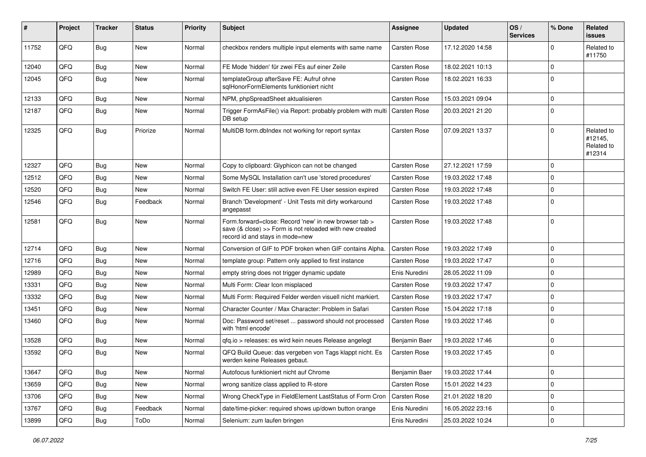| #     | Project | <b>Tracker</b> | <b>Status</b> | <b>Priority</b> | Subject                                                                                                                                             | <b>Assignee</b>     | <b>Updated</b>   | OS/<br><b>Services</b> | % Done      | Related<br>issues                             |
|-------|---------|----------------|---------------|-----------------|-----------------------------------------------------------------------------------------------------------------------------------------------------|---------------------|------------------|------------------------|-------------|-----------------------------------------------|
| 11752 | QFQ     | <b>Bug</b>     | New           | Normal          | checkbox renders multiple input elements with same name                                                                                             | Carsten Rose        | 17.12.2020 14:58 |                        | 0           | Related to<br>#11750                          |
| 12040 | QFQ     | Bug            | New           | Normal          | FE Mode 'hidden' für zwei FEs auf einer Zeile                                                                                                       | Carsten Rose        | 18.02.2021 10:13 |                        | $\Omega$    |                                               |
| 12045 | QFQ     | Bug            | New           | Normal          | templateGroup afterSave FE: Aufruf ohne<br>sglHonorFormElements funktioniert nicht                                                                  | <b>Carsten Rose</b> | 18.02.2021 16:33 |                        | $\Omega$    |                                               |
| 12133 | QFQ     | <b>Bug</b>     | <b>New</b>    | Normal          | NPM, phpSpreadSheet aktualisieren                                                                                                                   | <b>Carsten Rose</b> | 15.03.2021 09:04 |                        | $\Omega$    |                                               |
| 12187 | QFQ     | Bug            | New           | Normal          | Trigger FormAsFile() via Report: probably problem with multi   Carsten Rose<br>DB setup                                                             |                     | 20.03.2021 21:20 |                        | $\Omega$    |                                               |
| 12325 | QFQ     | <b>Bug</b>     | Priorize      | Normal          | MultiDB form.dblndex not working for report syntax                                                                                                  | Carsten Rose        | 07.09.2021 13:37 |                        | 0           | Related to<br>#12145,<br>Related to<br>#12314 |
| 12327 | QFQ     | Bug            | <b>New</b>    | Normal          | Copy to clipboard: Glyphicon can not be changed                                                                                                     | Carsten Rose        | 27.12.2021 17:59 |                        | 0           |                                               |
| 12512 | QFQ     | Bug            | New           | Normal          | Some MySQL Installation can't use 'stored procedures'                                                                                               | Carsten Rose        | 19.03.2022 17:48 |                        | $\Omega$    |                                               |
| 12520 | QFQ     | Bug            | New           | Normal          | Switch FE User: still active even FE User session expired                                                                                           | Carsten Rose        | 19.03.2022 17:48 |                        | $\Omega$    |                                               |
| 12546 | QFQ     | <b>Bug</b>     | Feedback      | Normal          | Branch 'Development' - Unit Tests mit dirty workaround<br>angepasst                                                                                 | <b>Carsten Rose</b> | 19.03.2022 17:48 |                        | $\Omega$    |                                               |
| 12581 | QFQ     | Bug            | New           | Normal          | Form.forward=close: Record 'new' in new browser tab ><br>save (& close) >> Form is not reloaded with new created<br>record id and stays in mode=new | <b>Carsten Rose</b> | 19.03.2022 17:48 |                        | $\mathbf 0$ |                                               |
| 12714 | QFQ     | Bug            | New           | Normal          | Conversion of GIF to PDF broken when GIF contains Alpha.                                                                                            | <b>Carsten Rose</b> | 19.03.2022 17:49 |                        | $\Omega$    |                                               |
| 12716 | QFQ     | Bug            | New           | Normal          | template group: Pattern only applied to first instance                                                                                              | <b>Carsten Rose</b> | 19.03.2022 17:47 |                        | $\Omega$    |                                               |
| 12989 | QFQ     | Bug            | New           | Normal          | empty string does not trigger dynamic update                                                                                                        | Enis Nuredini       | 28.05.2022 11:09 |                        | $\Omega$    |                                               |
| 13331 | QFQ     | Bug            | New           | Normal          | Multi Form: Clear Icon misplaced                                                                                                                    | <b>Carsten Rose</b> | 19.03.2022 17:47 |                        | 0           |                                               |
| 13332 | QFQ     | <b>Bug</b>     | New           | Normal          | Multi Form: Required Felder werden visuell nicht markiert.                                                                                          | <b>Carsten Rose</b> | 19.03.2022 17:47 |                        | $\Omega$    |                                               |
| 13451 | QFQ     | <b>Bug</b>     | New           | Normal          | Character Counter / Max Character: Problem in Safari                                                                                                | Carsten Rose        | 15.04.2022 17:18 |                        | $\mathbf 0$ |                                               |
| 13460 | QFQ     | Bug            | New           | Normal          | Doc: Password set/reset  password should not processed<br>with 'html encode'                                                                        | <b>Carsten Rose</b> | 19.03.2022 17:46 |                        | $\Omega$    |                                               |
| 13528 | QFQ     | <b>Bug</b>     | New           | Normal          | gfg.io > releases: es wird kein neues Release angelegt                                                                                              | Benjamin Baer       | 19.03.2022 17:46 |                        | $\Omega$    |                                               |
| 13592 | QFQ     | Bug            | New           | Normal          | QFQ Build Queue: das vergeben von Tags klappt nicht. Es<br>werden keine Releases gebaut.                                                            | Carsten Rose        | 19.03.2022 17:45 |                        | $\mathbf 0$ |                                               |
| 13647 | QFQ     | <b>Bug</b>     | New           | Normal          | Autofocus funktioniert nicht auf Chrome                                                                                                             | Benjamin Baer       | 19.03.2022 17:44 |                        | 0           |                                               |
| 13659 | QFQ     | <b>Bug</b>     | New           | Normal          | wrong sanitize class applied to R-store                                                                                                             | Carsten Rose        | 15.01.2022 14:23 |                        | 0           |                                               |
| 13706 | QFQ     | <b>Bug</b>     | New           | Normal          | Wrong CheckType in FieldElement LastStatus of Form Cron                                                                                             | Carsten Rose        | 21.01.2022 18:20 |                        | 0           |                                               |
| 13767 | QFQ     | <b>Bug</b>     | Feedback      | Normal          | date/time-picker: required shows up/down button orange                                                                                              | Enis Nuredini       | 16.05.2022 23:16 |                        | $\mathbf 0$ |                                               |
| 13899 | QFQ     | <b>Bug</b>     | ToDo          | Normal          | Selenium: zum laufen bringen                                                                                                                        | Enis Nuredini       | 25.03.2022 10:24 |                        | 0           |                                               |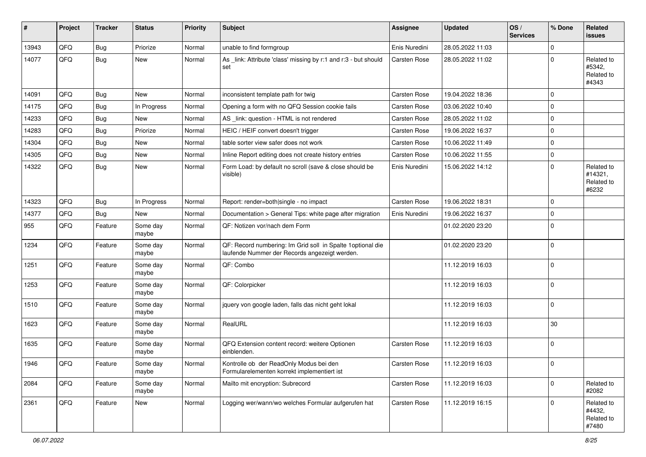| $\sharp$ | Project | <b>Tracker</b> | <b>Status</b>     | <b>Priority</b> | Subject                                                                                                      | <b>Assignee</b>     | <b>Updated</b>   | OS/<br><b>Services</b> | % Done         | Related<br><b>issues</b>                     |
|----------|---------|----------------|-------------------|-----------------|--------------------------------------------------------------------------------------------------------------|---------------------|------------------|------------------------|----------------|----------------------------------------------|
| 13943    | QFQ     | <b>Bug</b>     | Priorize          | Normal          | unable to find formgroup                                                                                     | Enis Nuredini       | 28.05.2022 11:03 |                        | $\Omega$       |                                              |
| 14077    | QFQ     | <b>Bug</b>     | New               | Normal          | As _link: Attribute 'class' missing by r:1 and r:3 - but should<br>set                                       | <b>Carsten Rose</b> | 28.05.2022 11:02 |                        | $\Omega$       | Related to<br>#5342,<br>Related to<br>#4343  |
| 14091    | QFQ     | <b>Bug</b>     | New               | Normal          | inconsistent template path for twig                                                                          | Carsten Rose        | 19.04.2022 18:36 |                        | $\Omega$       |                                              |
| 14175    | QFQ     | Bug            | In Progress       | Normal          | Opening a form with no QFQ Session cookie fails                                                              | Carsten Rose        | 03.06.2022 10:40 |                        | $\mathbf 0$    |                                              |
| 14233    | QFQ     | <b>Bug</b>     | New               | Normal          | AS _link: question - HTML is not rendered                                                                    | Carsten Rose        | 28.05.2022 11:02 |                        | $\Omega$       |                                              |
| 14283    | QFQ     | <b>Bug</b>     | Priorize          | Normal          | HEIC / HEIF convert doesn't trigger                                                                          | Carsten Rose        | 19.06.2022 16:37 |                        | $\mathbf 0$    |                                              |
| 14304    | QFQ     | Bug            | New               | Normal          | table sorter view safer does not work                                                                        | Carsten Rose        | 10.06.2022 11:49 |                        | $\mathbf 0$    |                                              |
| 14305    | QFQ     | Bug            | New               | Normal          | Inline Report editing does not create history entries                                                        | Carsten Rose        | 10.06.2022 11:55 |                        | $\mathbf 0$    |                                              |
| 14322    | QFQ     | Bug            | New               | Normal          | Form Load: by default no scroll (save & close should be<br>visible)                                          | Enis Nuredini       | 15.06.2022 14:12 |                        | $\Omega$       | Related to<br>#14321,<br>Related to<br>#6232 |
| 14323    | QFQ     | <b>Bug</b>     | In Progress       | Normal          | Report: render=both single - no impact                                                                       | Carsten Rose        | 19.06.2022 18:31 |                        | $\Omega$       |                                              |
| 14377    | QFQ     | <b>Bug</b>     | New               | Normal          | Documentation > General Tips: white page after migration                                                     | Enis Nuredini       | 19.06.2022 16:37 |                        | $\mathbf 0$    |                                              |
| 955      | QFQ     | Feature        | Some day<br>maybe | Normal          | QF: Notizen vor/nach dem Form                                                                                |                     | 01.02.2020 23:20 |                        | $\Omega$       |                                              |
| 1234     | QFQ     | Feature        | Some day<br>maybe | Normal          | QF: Record numbering: Im Grid soll in Spalte 1 optional die<br>laufende Nummer der Records angezeigt werden. |                     | 01.02.2020 23:20 |                        | $\Omega$       |                                              |
| 1251     | QFQ     | Feature        | Some day<br>maybe | Normal          | QF: Combo                                                                                                    |                     | 11.12.2019 16:03 |                        | $\Omega$       |                                              |
| 1253     | QFQ     | Feature        | Some day<br>maybe | Normal          | QF: Colorpicker                                                                                              |                     | 11.12.2019 16:03 |                        | $\Omega$       |                                              |
| 1510     | QFQ     | Feature        | Some day<br>maybe | Normal          | jquery von google laden, falls das nicht geht lokal                                                          |                     | 11.12.2019 16:03 |                        | $\mathbf 0$    |                                              |
| 1623     | QFQ     | Feature        | Some day<br>maybe | Normal          | RealURL                                                                                                      |                     | 11.12.2019 16:03 |                        | 30             |                                              |
| 1635     | QFQ     | Feature        | Some day<br>maybe | Normal          | QFQ Extension content record: weitere Optionen<br>einblenden.                                                | Carsten Rose        | 11.12.2019 16:03 |                        | $\Omega$       |                                              |
| 1946     | QFQ     | Feature        | Some day<br>maybe | Normal          | Kontrolle ob der ReadOnly Modus bei den<br>Formularelementen korrekt implementiert ist                       | Carsten Rose        | 11.12.2019 16:03 |                        | $\overline{0}$ |                                              |
| 2084     | QFQ     | Feature        | Some day<br>maybe | Normal          | Mailto mit encryption: Subrecord                                                                             | Carsten Rose        | 11.12.2019 16:03 |                        | $\Omega$       | Related to<br>#2082                          |
| 2361     | QFQ     | Feature        | New               | Normal          | Logging wer/wann/wo welches Formular aufgerufen hat                                                          | <b>Carsten Rose</b> | 11.12.2019 16:15 |                        | $\mathbf 0$    | Related to<br>#4432,<br>Related to<br>#7480  |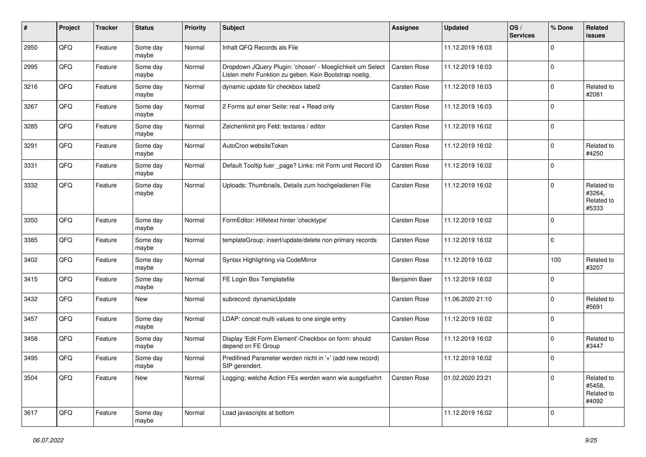| #    | Project | <b>Tracker</b> | <b>Status</b>     | <b>Priority</b> | Subject                                                                                                            | <b>Assignee</b>     | <b>Updated</b>   | OS/<br><b>Services</b> | % Done      | Related<br>issues                           |
|------|---------|----------------|-------------------|-----------------|--------------------------------------------------------------------------------------------------------------------|---------------------|------------------|------------------------|-------------|---------------------------------------------|
| 2950 | QFQ     | Feature        | Some day<br>maybe | Normal          | Inhalt QFQ Records als File                                                                                        |                     | 11.12.2019 16:03 |                        | $\Omega$    |                                             |
| 2995 | QFQ     | Feature        | Some day<br>maybe | Normal          | Dropdown JQuery Plugin: 'chosen' - Moeglichkeit um Select<br>Listen mehr Funktion zu geben. Kein Bootstrap noetig. | Carsten Rose        | 11.12.2019 16:03 |                        | $\mathbf 0$ |                                             |
| 3216 | QFQ     | Feature        | Some day<br>maybe | Normal          | dynamic update für checkbox label2                                                                                 | Carsten Rose        | 11.12.2019 16:03 |                        | $\Omega$    | Related to<br>#2081                         |
| 3267 | QFQ     | Feature        | Some day<br>maybe | Normal          | 2 Forms auf einer Seite: real + Read only                                                                          | <b>Carsten Rose</b> | 11.12.2019 16:03 |                        | $\Omega$    |                                             |
| 3285 | QFQ     | Feature        | Some day<br>maybe | Normal          | Zeichenlimit pro Feld: textarea / editor                                                                           | Carsten Rose        | 11.12.2019 16:02 |                        | $\mathbf 0$ |                                             |
| 3291 | QFQ     | Feature        | Some day<br>maybe | Normal          | AutoCron websiteToken                                                                                              | Carsten Rose        | 11.12.2019 16:02 |                        | $\Omega$    | Related to<br>#4250                         |
| 3331 | QFQ     | Feature        | Some day<br>maybe | Normal          | Default Tooltip fuer _page? Links: mit Form und Record ID                                                          | Carsten Rose        | 11.12.2019 16:02 |                        | $\Omega$    |                                             |
| 3332 | QFQ     | Feature        | Some day<br>maybe | Normal          | Uploads: Thumbnails, Details zum hochgeladenen File                                                                | Carsten Rose        | 11.12.2019 16:02 |                        | $\Omega$    | Related to<br>#3264,<br>Related to<br>#5333 |
| 3350 | QFQ     | Feature        | Some day<br>maybe | Normal          | FormEditor: Hilfetext hinter 'checktype'                                                                           | Carsten Rose        | 11.12.2019 16:02 |                        | $\Omega$    |                                             |
| 3385 | QFQ     | Feature        | Some day<br>maybe | Normal          | templateGroup: insert/update/delete non primary records                                                            | Carsten Rose        | 11.12.2019 16:02 |                        | $\Omega$    |                                             |
| 3402 | QFQ     | Feature        | Some day<br>maybe | Normal          | Syntax Highlighting via CodeMirror                                                                                 | Carsten Rose        | 11.12.2019 16:02 |                        | 100         | Related to<br>#3207                         |
| 3415 | QFQ     | Feature        | Some day<br>maybe | Normal          | FE Login Box Templatefile                                                                                          | Benjamin Baer       | 11.12.2019 16:02 |                        | $\Omega$    |                                             |
| 3432 | QFQ     | Feature        | New               | Normal          | subrecord: dynamicUpdate                                                                                           | Carsten Rose        | 11.06.2020 21:10 |                        | $\Omega$    | Related to<br>#5691                         |
| 3457 | QFQ     | Feature        | Some day<br>maybe | Normal          | LDAP: concat multi values to one single entry                                                                      | Carsten Rose        | 11.12.2019 16:02 |                        | $\Omega$    |                                             |
| 3458 | QFQ     | Feature        | Some day<br>maybe | Normal          | Display 'Edit Form Element'-Checkbox on form: should<br>depend on FE Group                                         | Carsten Rose        | 11.12.2019 16:02 |                        | $\Omega$    | Related to<br>#3447                         |
| 3495 | QFQ     | Feature        | Some day<br>maybe | Normal          | Predifined Parameter werden nicht in '+' (add new record)<br>SIP gerendert.                                        |                     | 11.12.2019 16:02 |                        | $\Omega$    |                                             |
| 3504 | QFG     | Feature        | New               | Normal          | Logging: welche Action FEs werden wann wie ausgefuehrt                                                             | <b>Carsten Rose</b> | 01.02.2020 23:21 |                        | $\Omega$    | Related to<br>#5458,<br>Related to<br>#4092 |
| 3617 | QFG     | Feature        | Some day<br>maybe | Normal          | Load javascripts at bottom                                                                                         |                     | 11.12.2019 16:02 |                        | 0           |                                             |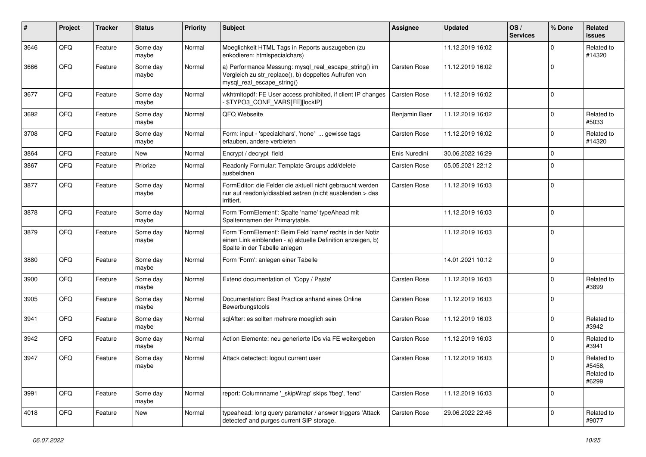| #    | Project | <b>Tracker</b> | <b>Status</b>     | <b>Priority</b> | <b>Subject</b>                                                                                                                                           | <b>Assignee</b> | <b>Updated</b>   | OS/<br><b>Services</b> | % Done      | Related<br><b>issues</b>                    |
|------|---------|----------------|-------------------|-----------------|----------------------------------------------------------------------------------------------------------------------------------------------------------|-----------------|------------------|------------------------|-------------|---------------------------------------------|
| 3646 | QFQ     | Feature        | Some day<br>maybe | Normal          | Moeglichkeit HTML Tags in Reports auszugeben (zu<br>enkodieren: htmlspecialchars)                                                                        |                 | 11.12.2019 16:02 |                        | $\Omega$    | Related to<br>#14320                        |
| 3666 | QFQ     | Feature        | Some day<br>maybe | Normal          | a) Performance Messung: mysql_real_escape_string() im<br>Vergleich zu str_replace(), b) doppeltes Aufrufen von<br>mysql_real_escape_string()             | Carsten Rose    | 11.12.2019 16:02 |                        | $\Omega$    |                                             |
| 3677 | QFQ     | Feature        | Some day<br>maybe | Normal          | wkhtmltopdf: FE User access prohibited, if client IP changes<br>\$TYPO3_CONF_VARS[FE][lockIP]                                                            | Carsten Rose    | 11.12.2019 16:02 |                        | $\mathbf 0$ |                                             |
| 3692 | QFQ     | Feature        | Some day<br>maybe | Normal          | QFQ Webseite                                                                                                                                             | Benjamin Baer   | 11.12.2019 16:02 |                        | $\Omega$    | Related to<br>#5033                         |
| 3708 | QFQ     | Feature        | Some day<br>maybe | Normal          | Form: input - 'specialchars', 'none'  gewisse tags<br>erlauben, andere verbieten                                                                         | Carsten Rose    | 11.12.2019 16:02 |                        | $\Omega$    | Related to<br>#14320                        |
| 3864 | QFQ     | Feature        | <b>New</b>        | Normal          | Encrypt / decrypt field                                                                                                                                  | Enis Nuredini   | 30.06.2022 16:29 |                        | $\Omega$    |                                             |
| 3867 | QFQ     | Feature        | Priorize          | Normal          | Readonly Formular: Template Groups add/delete<br>ausbeldnen                                                                                              | Carsten Rose    | 05.05.2021 22:12 |                        | $\Omega$    |                                             |
| 3877 | QFQ     | Feature        | Some day<br>maybe | Normal          | FormEditor: die Felder die aktuell nicht gebraucht werden<br>nur auf readonly/disabled setzen (nicht ausblenden > das<br>irritiert.                      | Carsten Rose    | 11.12.2019 16:03 |                        | $\mathbf 0$ |                                             |
| 3878 | QFQ     | Feature        | Some day<br>maybe | Normal          | Form 'FormElement': Spalte 'name' typeAhead mit<br>Spaltennamen der Primarytable.                                                                        |                 | 11.12.2019 16:03 |                        | $\Omega$    |                                             |
| 3879 | QFQ     | Feature        | Some day<br>maybe | Normal          | Form 'FormElement': Beim Feld 'name' rechts in der Notiz<br>einen Link einblenden - a) aktuelle Definition anzeigen, b)<br>Spalte in der Tabelle anlegen |                 | 11.12.2019 16:03 |                        | $\mathbf 0$ |                                             |
| 3880 | QFQ     | Feature        | Some day<br>maybe | Normal          | Form 'Form': anlegen einer Tabelle                                                                                                                       |                 | 14.01.2021 10:12 |                        | $\Omega$    |                                             |
| 3900 | QFQ     | Feature        | Some day<br>maybe | Normal          | Extend documentation of 'Copy / Paste'                                                                                                                   | Carsten Rose    | 11.12.2019 16:03 |                        | $\Omega$    | Related to<br>#3899                         |
| 3905 | QFQ     | Feature        | Some day<br>maybe | Normal          | Documentation: Best Practice anhand eines Online<br>Bewerbungstools                                                                                      | Carsten Rose    | 11.12.2019 16:03 |                        | $\Omega$    |                                             |
| 3941 | QFQ     | Feature        | Some day<br>maybe | Normal          | sqlAfter: es sollten mehrere moeglich sein                                                                                                               | Carsten Rose    | 11.12.2019 16:03 |                        | $\Omega$    | Related to<br>#3942                         |
| 3942 | QFQ     | Feature        | Some day<br>maybe | Normal          | Action Elemente: neu generierte IDs via FE weitergeben                                                                                                   | Carsten Rose    | 11.12.2019 16:03 |                        | $\Omega$    | Related to<br>#3941                         |
| 3947 | QFQ     | Feature        | Some day<br>maybe | Normal          | Attack detectect: logout current user                                                                                                                    | Carsten Rose    | 11.12.2019 16:03 |                        | $\Omega$    | Related to<br>#5458,<br>Related to<br>#6299 |
| 3991 | QFQ     | Feature        | Some day<br>maybe | Normal          | report: Columnname ' skipWrap' skips 'fbeg', 'fend'                                                                                                      | Carsten Rose    | 11.12.2019 16:03 |                        | $\mathbf 0$ |                                             |
| 4018 | QFQ     | Feature        | New               | Normal          | typeahead: long query parameter / answer triggers 'Attack<br>detected' and purges current SIP storage.                                                   | Carsten Rose    | 29.06.2022 22:46 |                        | $\Omega$    | Related to<br>#9077                         |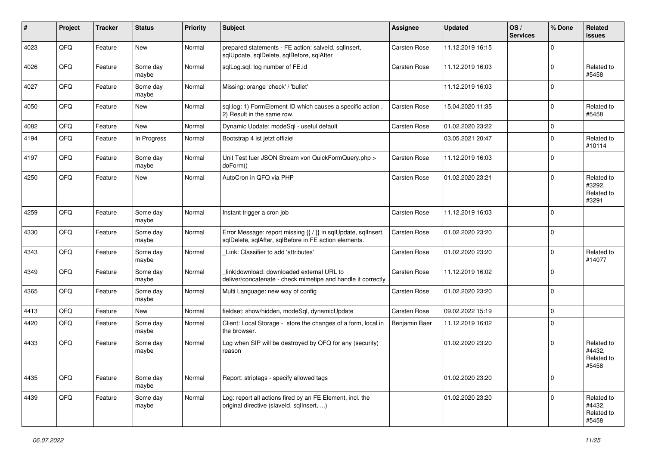| ∦    | Project | <b>Tracker</b> | <b>Status</b>     | <b>Priority</b> | Subject                                                                                                                 | Assignee      | <b>Updated</b>   | OS/<br><b>Services</b> | % Done      | Related<br><b>issues</b>                    |
|------|---------|----------------|-------------------|-----------------|-------------------------------------------------------------------------------------------------------------------------|---------------|------------------|------------------------|-------------|---------------------------------------------|
| 4023 | QFQ     | Feature        | <b>New</b>        | Normal          | prepared statements - FE action: salveld, sqlInsert,<br>sqlUpdate, sqlDelete, sqlBefore, sqlAfter                       | Carsten Rose  | 11.12.2019 16:15 |                        | $\Omega$    |                                             |
| 4026 | QFQ     | Feature        | Some day<br>maybe | Normal          | sqlLog.sql: log number of FE.id                                                                                         | Carsten Rose  | 11.12.2019 16:03 |                        | $\Omega$    | Related to<br>#5458                         |
| 4027 | QFQ     | Feature        | Some day<br>maybe | Normal          | Missing: orange 'check' / 'bullet'                                                                                      |               | 11.12.2019 16:03 |                        | $\Omega$    |                                             |
| 4050 | QFQ     | Feature        | New               | Normal          | sql.log: 1) FormElement ID which causes a specific action,<br>2) Result in the same row.                                | Carsten Rose  | 15.04.2020 11:35 |                        | $\Omega$    | Related to<br>#5458                         |
| 4082 | QFQ     | Feature        | New               | Normal          | Dynamic Update: modeSql - useful default                                                                                | Carsten Rose  | 01.02.2020 23:22 |                        | $\Omega$    |                                             |
| 4194 | QFQ     | Feature        | In Progress       | Normal          | Bootstrap 4 ist jetzt offiziel                                                                                          |               | 03.05.2021 20:47 |                        | $\Omega$    | Related to<br>#10114                        |
| 4197 | QFQ     | Feature        | Some day<br>maybe | Normal          | Unit Test fuer JSON Stream von QuickFormQuery.php ><br>doForm()                                                         | Carsten Rose  | 11.12.2019 16:03 |                        | $\mathbf 0$ |                                             |
| 4250 | QFQ     | Feature        | New               | Normal          | AutoCron in QFQ via PHP                                                                                                 | Carsten Rose  | 01.02.2020 23:21 |                        | $\Omega$    | Related to<br>#3292,<br>Related to<br>#3291 |
| 4259 | QFQ     | Feature        | Some day<br>maybe | Normal          | Instant trigger a cron job                                                                                              | Carsten Rose  | 11.12.2019 16:03 |                        | $\Omega$    |                                             |
| 4330 | QFQ     | Feature        | Some day<br>maybe | Normal          | Error Message: report missing {{ / }} in sqlUpdate, sqlInsert,<br>sqlDelete, sqlAfter, sqlBefore in FE action elements. | Carsten Rose  | 01.02.2020 23:20 |                        | $\mathbf 0$ |                                             |
| 4343 | QFQ     | Feature        | Some day<br>maybe | Normal          | Link: Classifier to add 'attributes'                                                                                    | Carsten Rose  | 01.02.2020 23:20 |                        | $\Omega$    | Related to<br>#14077                        |
| 4349 | QFQ     | Feature        | Some day<br>maybe | Normal          | link download: downloaded external URL to<br>deliver/concatenate - check mimetipe and handle it correctly               | Carsten Rose  | 11.12.2019 16:02 |                        | $\Omega$    |                                             |
| 4365 | QFQ     | Feature        | Some day<br>maybe | Normal          | Multi Language: new way of config                                                                                       | Carsten Rose  | 01.02.2020 23:20 |                        | $\Omega$    |                                             |
| 4413 | QFQ     | Feature        | New               | Normal          | fieldset: show/hidden, modeSql, dynamicUpdate                                                                           | Carsten Rose  | 09.02.2022 15:19 |                        | $\Omega$    |                                             |
| 4420 | QFQ     | Feature        | Some day<br>maybe | Normal          | Client: Local Storage - store the changes of a form, local in<br>the browser.                                           | Benjamin Baer | 11.12.2019 16:02 |                        | $\Omega$    |                                             |
| 4433 | QFQ     | Feature        | Some day<br>maybe | Normal          | Log when SIP will be destroyed by QFQ for any (security)<br>reason                                                      |               | 01.02.2020 23:20 |                        | 0           | Related to<br>#4432,<br>Related to<br>#5458 |
| 4435 | QFQ     | Feature        | Some day<br>maybe | Normal          | Report: striptags - specify allowed tags                                                                                |               | 01.02.2020 23:20 |                        | $\mathbf 0$ |                                             |
| 4439 | QFQ     | Feature        | Some day<br>maybe | Normal          | Log: report all actions fired by an FE Element, incl. the<br>original directive (slaveld, sqllnsert, )                  |               | 01.02.2020 23:20 |                        | $\Omega$    | Related to<br>#4432,<br>Related to<br>#5458 |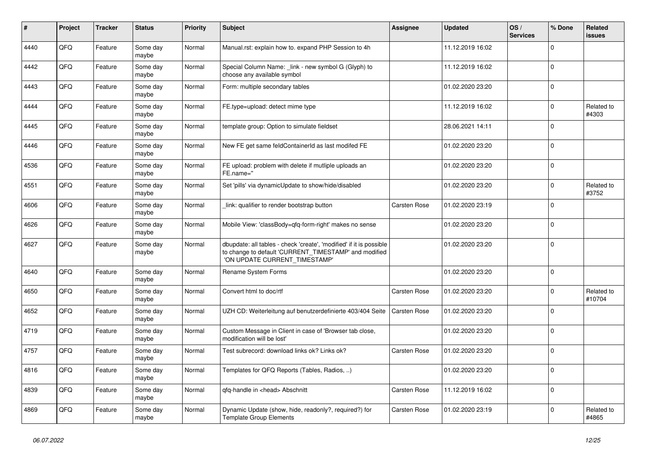| #    | Project | <b>Tracker</b> | <b>Status</b>     | <b>Priority</b> | <b>Subject</b>                                                                                                                                                | <b>Assignee</b> | <b>Updated</b>   | OS/<br><b>Services</b> | % Done      | <b>Related</b><br>issues |
|------|---------|----------------|-------------------|-----------------|---------------------------------------------------------------------------------------------------------------------------------------------------------------|-----------------|------------------|------------------------|-------------|--------------------------|
| 4440 | QFQ     | Feature        | Some day<br>maybe | Normal          | Manual.rst: explain how to. expand PHP Session to 4h                                                                                                          |                 | 11.12.2019 16:02 |                        | $\Omega$    |                          |
| 4442 | QFQ     | Feature        | Some day<br>maybe | Normal          | Special Column Name: _link - new symbol G (Glyph) to<br>choose any available symbol                                                                           |                 | 11.12.2019 16:02 |                        | $\Omega$    |                          |
| 4443 | QFQ     | Feature        | Some day<br>maybe | Normal          | Form: multiple secondary tables                                                                                                                               |                 | 01.02.2020 23:20 |                        | $\Omega$    |                          |
| 4444 | QFQ     | Feature        | Some day<br>maybe | Normal          | FE.type=upload: detect mime type                                                                                                                              |                 | 11.12.2019 16:02 |                        | $\Omega$    | Related to<br>#4303      |
| 4445 | QFQ     | Feature        | Some day<br>maybe | Normal          | template group: Option to simulate fieldset                                                                                                                   |                 | 28.06.2021 14:11 |                        | $\Omega$    |                          |
| 4446 | QFQ     | Feature        | Some day<br>maybe | Normal          | New FE get same feldContainerId as last modifed FE                                                                                                            |                 | 01.02.2020 23:20 |                        | $\Omega$    |                          |
| 4536 | QFQ     | Feature        | Some day<br>maybe | Normal          | FE upload: problem with delete if mutliple uploads an<br>FE.name="                                                                                            |                 | 01.02.2020 23:20 |                        | $\Omega$    |                          |
| 4551 | QFQ     | Feature        | Some day<br>maybe | Normal          | Set 'pills' via dynamicUpdate to show/hide/disabled                                                                                                           |                 | 01.02.2020 23:20 |                        | $\Omega$    | Related to<br>#3752      |
| 4606 | QFQ     | Feature        | Some day<br>maybe | Normal          | link: qualifier to render bootstrap button                                                                                                                    | Carsten Rose    | 01.02.2020 23:19 |                        | $\Omega$    |                          |
| 4626 | QFQ     | Feature        | Some day<br>maybe | Normal          | Mobile View: 'classBody=qfq-form-right' makes no sense                                                                                                        |                 | 01.02.2020 23:20 |                        | $\Omega$    |                          |
| 4627 | QFQ     | Feature        | Some day<br>maybe | Normal          | dbupdate: all tables - check 'create', 'modified' if it is possible<br>to change to default 'CURRENT_TIMESTAMP' and modified<br>'ON UPDATE CURRENT_TIMESTAMP' |                 | 01.02.2020 23:20 |                        | $\Omega$    |                          |
| 4640 | QFQ     | Feature        | Some day<br>maybe | Normal          | Rename System Forms                                                                                                                                           |                 | 01.02.2020 23:20 |                        | $\Omega$    |                          |
| 4650 | QFQ     | Feature        | Some day<br>maybe | Normal          | Convert html to doc/rtf                                                                                                                                       | Carsten Rose    | 01.02.2020 23:20 |                        | $\Omega$    | Related to<br>#10704     |
| 4652 | QFQ     | Feature        | Some day<br>maybe | Normal          | UZH CD: Weiterleitung auf benutzerdefinierte 403/404 Seite                                                                                                    | Carsten Rose    | 01.02.2020 23:20 |                        | $\Omega$    |                          |
| 4719 | QFQ     | Feature        | Some day<br>maybe | Normal          | Custom Message in Client in case of 'Browser tab close,<br>modification will be lost'                                                                         |                 | 01.02.2020 23:20 |                        | $\mathbf 0$ |                          |
| 4757 | QFQ     | Feature        | Some day<br>maybe | Normal          | Test subrecord: download links ok? Links ok?                                                                                                                  | Carsten Rose    | 01.02.2020 23:20 |                        | $\Omega$    |                          |
| 4816 | QFQ     | Feature        | Some day<br>maybe | Normal          | Templates for QFQ Reports (Tables, Radios, )                                                                                                                  |                 | 01.02.2020 23:20 |                        | $\Omega$    |                          |
| 4839 | QFQ     | Feature        | Some day<br>maybe | Normal          | qfq-handle in <head> Abschnitt</head>                                                                                                                         | Carsten Rose    | 11.12.2019 16:02 |                        | $\Omega$    |                          |
| 4869 | QFQ     | Feature        | Some day<br>maybe | Normal          | Dynamic Update (show, hide, readonly?, required?) for<br><b>Template Group Elements</b>                                                                       | Carsten Rose    | 01.02.2020 23:19 |                        | $\Omega$    | Related to<br>#4865      |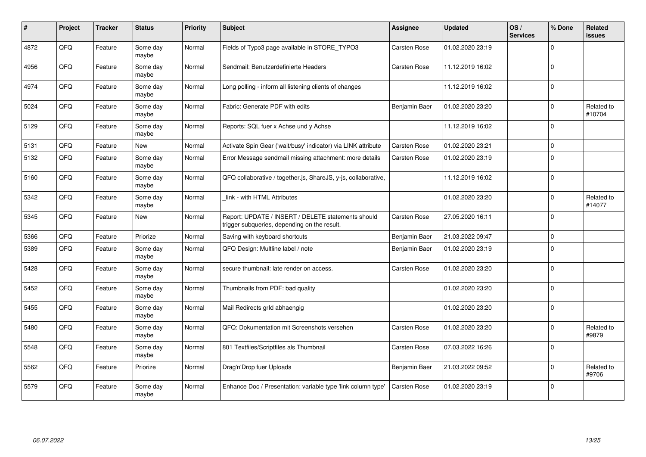| $\pmb{\#}$ | Project | <b>Tracker</b> | <b>Status</b>     | <b>Priority</b> | Subject                                                                                            | <b>Assignee</b>     | <b>Updated</b>   | OS/<br><b>Services</b> | % Done      | <b>Related</b><br><b>issues</b> |
|------------|---------|----------------|-------------------|-----------------|----------------------------------------------------------------------------------------------------|---------------------|------------------|------------------------|-------------|---------------------------------|
| 4872       | QFQ     | Feature        | Some day<br>maybe | Normal          | Fields of Typo3 page available in STORE_TYPO3                                                      | <b>Carsten Rose</b> | 01.02.2020 23:19 |                        | $\Omega$    |                                 |
| 4956       | QFQ     | Feature        | Some day<br>maybe | Normal          | Sendmail: Benutzerdefinierte Headers                                                               | <b>Carsten Rose</b> | 11.12.2019 16:02 |                        | $\Omega$    |                                 |
| 4974       | QFQ     | Feature        | Some day<br>maybe | Normal          | Long polling - inform all listening clients of changes                                             |                     | 11.12.2019 16:02 |                        | $\mathbf 0$ |                                 |
| 5024       | QFQ     | Feature        | Some day<br>maybe | Normal          | Fabric: Generate PDF with edits                                                                    | Benjamin Baer       | 01.02.2020 23:20 |                        | $\Omega$    | Related to<br>#10704            |
| 5129       | QFQ     | Feature        | Some day<br>maybe | Normal          | Reports: SQL fuer x Achse und y Achse                                                              |                     | 11.12.2019 16:02 |                        | $\Omega$    |                                 |
| 5131       | QFQ     | Feature        | <b>New</b>        | Normal          | Activate Spin Gear ('wait/busy' indicator) via LINK attribute                                      | Carsten Rose        | 01.02.2020 23:21 |                        | $\mathbf 0$ |                                 |
| 5132       | QFQ     | Feature        | Some day<br>maybe | Normal          | Error Message sendmail missing attachment: more details                                            | <b>Carsten Rose</b> | 01.02.2020 23:19 |                        | $\Omega$    |                                 |
| 5160       | QFQ     | Feature        | Some day<br>maybe | Normal          | QFQ collaborative / together.js, ShareJS, y-js, collaborative,                                     |                     | 11.12.2019 16:02 |                        | $\Omega$    |                                 |
| 5342       | QFQ     | Feature        | Some day<br>maybe | Normal          | link - with HTML Attributes                                                                        |                     | 01.02.2020 23:20 |                        | $\Omega$    | Related to<br>#14077            |
| 5345       | QFQ     | Feature        | <b>New</b>        | Normal          | Report: UPDATE / INSERT / DELETE statements should<br>trigger subqueries, depending on the result. | Carsten Rose        | 27.05.2020 16:11 |                        | $\Omega$    |                                 |
| 5366       | QFQ     | Feature        | Priorize          | Normal          | Saving with keyboard shortcuts                                                                     | Benjamin Baer       | 21.03.2022 09:47 |                        | $\Omega$    |                                 |
| 5389       | QFQ     | Feature        | Some day<br>maybe | Normal          | QFQ Design: Multline label / note                                                                  | Benjamin Baer       | 01.02.2020 23:19 |                        | $\Omega$    |                                 |
| 5428       | QFQ     | Feature        | Some day<br>maybe | Normal          | secure thumbnail: late render on access.                                                           | <b>Carsten Rose</b> | 01.02.2020 23:20 |                        | $\Omega$    |                                 |
| 5452       | QFQ     | Feature        | Some day<br>maybe | Normal          | Thumbnails from PDF: bad quality                                                                   |                     | 01.02.2020 23:20 |                        | $\Omega$    |                                 |
| 5455       | QFQ     | Feature        | Some day<br>maybe | Normal          | Mail Redirects grld abhaengig                                                                      |                     | 01.02.2020 23:20 |                        | $\Omega$    |                                 |
| 5480       | QFQ     | Feature        | Some day<br>maybe | Normal          | QFQ: Dokumentation mit Screenshots versehen                                                        | <b>Carsten Rose</b> | 01.02.2020 23:20 |                        | $\Omega$    | Related to<br>#9879             |
| 5548       | QFQ     | Feature        | Some day<br>maybe | Normal          | 801 Textfiles/Scriptfiles als Thumbnail                                                            | <b>Carsten Rose</b> | 07.03.2022 16:26 |                        | $\Omega$    |                                 |
| 5562       | QFQ     | Feature        | Priorize          | Normal          | Drag'n'Drop fuer Uploads                                                                           | Benjamin Baer       | 21.03.2022 09:52 |                        | $\Omega$    | Related to<br>#9706             |
| 5579       | QFQ     | Feature        | Some day<br>maybe | Normal          | Enhance Doc / Presentation: variable type 'link column type'                                       | <b>Carsten Rose</b> | 01.02.2020 23:19 |                        | $\Omega$    |                                 |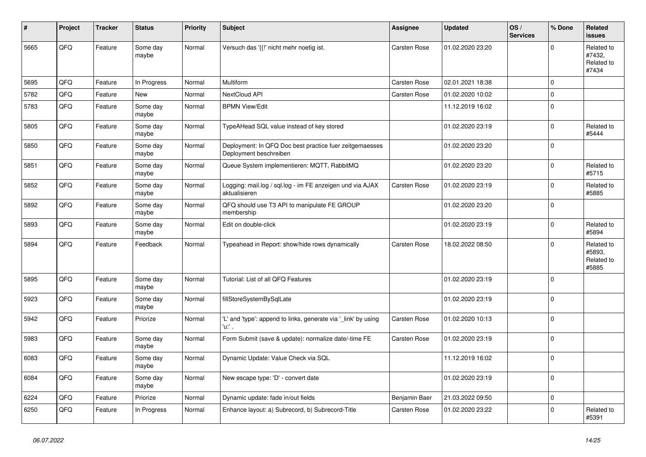| #    | Project | <b>Tracker</b> | <b>Status</b>     | <b>Priority</b> | <b>Subject</b>                                                                    | Assignee            | <b>Updated</b>   | OS/<br><b>Services</b> | % Done      | Related<br><b>issues</b>                    |
|------|---------|----------------|-------------------|-----------------|-----------------------------------------------------------------------------------|---------------------|------------------|------------------------|-------------|---------------------------------------------|
| 5665 | QFQ     | Feature        | Some day<br>maybe | Normal          | Versuch das '{{!' nicht mehr noetig ist.                                          | <b>Carsten Rose</b> | 01.02.2020 23:20 |                        | $\Omega$    | Related to<br>#7432,<br>Related to<br>#7434 |
| 5695 | QFQ     | Feature        | In Progress       | Normal          | <b>Multiform</b>                                                                  | Carsten Rose        | 02.01.2021 18:38 |                        | $\Omega$    |                                             |
| 5782 | QFQ     | Feature        | <b>New</b>        | Normal          | NextCloud API                                                                     | Carsten Rose        | 01.02.2020 10:02 |                        | $\Omega$    |                                             |
| 5783 | QFQ     | Feature        | Some day<br>maybe | Normal          | <b>BPMN View/Edit</b>                                                             |                     | 11.12.2019 16:02 |                        | $\mathbf 0$ |                                             |
| 5805 | QFQ     | Feature        | Some day<br>maybe | Normal          | TypeAHead SQL value instead of key stored                                         |                     | 01.02.2020 23:19 |                        | $\Omega$    | Related to<br>#5444                         |
| 5850 | QFQ     | Feature        | Some day<br>maybe | Normal          | Deployment: In QFQ Doc best practice fuer zeitgemaesses<br>Deployment beschreiben |                     | 01.02.2020 23:20 |                        | $\Omega$    |                                             |
| 5851 | QFQ     | Feature        | Some day<br>maybe | Normal          | Queue System implementieren: MQTT, RabbitMQ                                       |                     | 01.02.2020 23:20 |                        | $\Omega$    | Related to<br>#5715                         |
| 5852 | QFQ     | Feature        | Some day<br>maybe | Normal          | Logging: mail.log / sql.log - im FE anzeigen und via AJAX<br>aktualisieren        | <b>Carsten Rose</b> | 01.02.2020 23:19 |                        | $\mathbf 0$ | Related to<br>#5885                         |
| 5892 | QFQ     | Feature        | Some day<br>maybe | Normal          | QFQ should use T3 API to manipulate FE GROUP<br>membership                        |                     | 01.02.2020 23:20 |                        | $\Omega$    |                                             |
| 5893 | QFQ     | Feature        | Some day<br>maybe | Normal          | Edit on double-click                                                              |                     | 01.02.2020 23:19 |                        | $\Omega$    | Related to<br>#5894                         |
| 5894 | QFQ     | Feature        | Feedback          | Normal          | Typeahead in Report: show/hide rows dynamically                                   | Carsten Rose        | 18.02.2022 08:50 |                        | $\Omega$    | Related to<br>#5893,<br>Related to<br>#5885 |
| 5895 | QFQ     | Feature        | Some day<br>maybe | Normal          | Tutorial: List of all QFQ Features                                                |                     | 01.02.2020 23:19 |                        | $\Omega$    |                                             |
| 5923 | QFQ     | Feature        | Some day<br>maybe | Normal          | fillStoreSystemBySqlLate                                                          |                     | 01.02.2020 23:19 |                        | $\mathbf 0$ |                                             |
| 5942 | QFQ     | Feature        | Priorize          | Normal          | 'L' and 'type': append to links, generate via '_link' by using<br>'u:' .          | Carsten Rose        | 01.02.2020 10:13 |                        | $\Omega$    |                                             |
| 5983 | QFQ     | Feature        | Some day<br>maybe | Normal          | Form Submit (save & update): normalize date/-time FE                              | <b>Carsten Rose</b> | 01.02.2020 23:19 |                        | $\Omega$    |                                             |
| 6083 | QFQ     | Feature        | Some day<br>maybe | Normal          | Dynamic Update: Value Check via SQL                                               |                     | 11.12.2019 16:02 |                        | $\mathbf 0$ |                                             |
| 6084 | QFQ     | Feature        | Some day<br>maybe | Normal          | New escape type: 'D' - convert date                                               |                     | 01.02.2020 23:19 |                        | $\Omega$    |                                             |
| 6224 | QFQ     | Feature        | Priorize          | Normal          | Dynamic update: fade in/out fields                                                | Benjamin Baer       | 21.03.2022 09:50 |                        | $\Omega$    |                                             |
| 6250 | QFQ     | Feature        | In Progress       | Normal          | Enhance layout: a) Subrecord, b) Subrecord-Title                                  | <b>Carsten Rose</b> | 01.02.2020 23:22 |                        | $\Omega$    | Related to<br>#5391                         |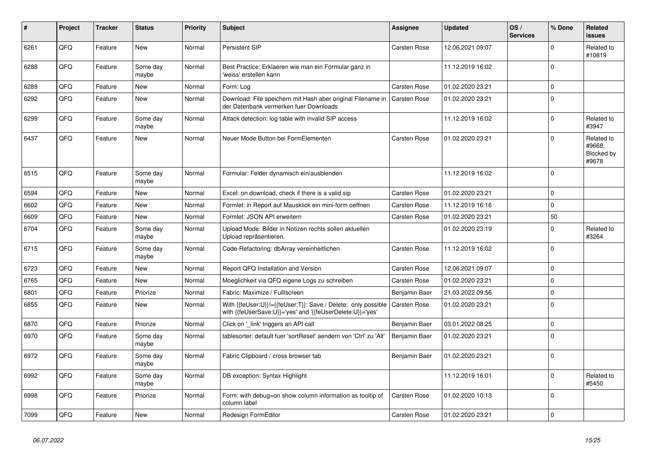| #    | Project | <b>Tracker</b> | <b>Status</b>     | <b>Priority</b> | <b>Subject</b>                                                                                                             | Assignee            | <b>Updated</b>   | OS/<br><b>Services</b> | % Done      | Related<br>issues                           |
|------|---------|----------------|-------------------|-----------------|----------------------------------------------------------------------------------------------------------------------------|---------------------|------------------|------------------------|-------------|---------------------------------------------|
| 6261 | QFQ     | Feature        | <b>New</b>        | Normal          | Persistent SIP                                                                                                             | <b>Carsten Rose</b> | 12.06.2021 09:07 |                        | $\Omega$    | Related to<br>#10819                        |
| 6288 | QFQ     | Feature        | Some day<br>maybe | Normal          | Best Practice: Erklaeren wie man ein Formular ganz in<br>'weiss' erstellen kann                                            |                     | 11.12.2019 16:02 |                        | $\Omega$    |                                             |
| 6289 | QFQ     | Feature        | New               | Normal          | Form: Log                                                                                                                  | Carsten Rose        | 01.02.2020 23:21 |                        | $\Omega$    |                                             |
| 6292 | QFQ     | Feature        | New               | Normal          | Download: File speichern mit Hash aber original Filename in<br>der Datenbank vermerken fuer Downloads                      | <b>Carsten Rose</b> | 01.02.2020 23:21 |                        | $\Omega$    |                                             |
| 6299 | QFQ     | Feature        | Some day<br>maybe | Normal          | Attack detection: log table with invalid SIP access                                                                        |                     | 11.12.2019 16:02 |                        | $\Omega$    | Related to<br>#3947                         |
| 6437 | QFQ     | Feature        | <b>New</b>        | Normal          | Neuer Mode Button bei FormElementen                                                                                        | <b>Carsten Rose</b> | 01.02.2020 23:21 |                        | $\Omega$    | Related to<br>#9668,<br>Blocked by<br>#9678 |
| 6515 | QFQ     | Feature        | Some day<br>maybe | Normal          | Formular: Felder dynamisch ein/ausblenden                                                                                  |                     | 11.12.2019 16:02 |                        | $\Omega$    |                                             |
| 6594 | QFQ     | Feature        | <b>New</b>        | Normal          | Excel: on download, check if there is a valid sip                                                                          | <b>Carsten Rose</b> | 01.02.2020 23:21 |                        | $\Omega$    |                                             |
| 6602 | QFQ     | Feature        | <b>New</b>        | Normal          | Formlet: in Report auf Mausklick ein mini-form oeffnen                                                                     | Carsten Rose        | 11.12.2019 16:16 |                        | $\Omega$    |                                             |
| 6609 | QFQ     | Feature        | <b>New</b>        | Normal          | Formlet: JSON API erweitern                                                                                                | <b>Carsten Rose</b> | 01.02.2020 23:21 |                        | 50          |                                             |
| 6704 | QFQ     | Feature        | Some day<br>maybe | Normal          | Upload Mode: Bilder in Notizen rechts sollen aktuellen<br>Upload repräsentieren.                                           |                     | 01.02.2020 23:19 |                        | $\Omega$    | Related to<br>#3264                         |
| 6715 | QFQ     | Feature        | Some day<br>maybe | Normal          | Code-Refactoring: dbArray vereinheitlichen                                                                                 | Carsten Rose        | 11.12.2019 16:02 |                        | $\Omega$    |                                             |
| 6723 | QFQ     | Feature        | New               | Normal          | Report QFQ Installation and Version                                                                                        | <b>Carsten Rose</b> | 12.06.2021 09:07 |                        | $\Omega$    |                                             |
| 6765 | QFQ     | Feature        | <b>New</b>        | Normal          | Moeglichkeit via QFQ eigene Logs zu schreiben                                                                              | Carsten Rose        | 01.02.2020 23:21 |                        | $\mathbf 0$ |                                             |
| 6801 | QFQ     | Feature        | Priorize          | Normal          | Fabric: Maximize / FullIscreen                                                                                             | Benjamin Baer       | 21.03.2022 09:56 |                        | $\Omega$    |                                             |
| 6855 | QFQ     | Feature        | New               | Normal          | With {{feUser:U}}!={{feUser:T}}: Save / Delete: only possible<br>with {{feUserSave:U}}='yes' and '{{feUserDelete:U}}='yes' | <b>Carsten Rose</b> | 01.02.2020 23:21 |                        | $\Omega$    |                                             |
| 6870 | QFQ     | Feature        | Priorize          | Normal          | Click on '_link' triggers an API call                                                                                      | Benjamin Baer       | 03.01.2022 08:25 |                        | $\pmb{0}$   |                                             |
| 6970 | QFQ     | Feature        | Some day<br>maybe | Normal          | tablesorter: default fuer 'sortReset' aendern von 'Ctrl' zu 'Alt'                                                          | Benjamin Baer       | 01.02.2020 23:21 |                        | $\Omega$    |                                             |
| 6972 | QFQ     | Feature        | Some day<br>maybe | Normal          | Fabric Clipboard / cross browser tab                                                                                       | Benjamin Baer       | 01.02.2020 23:21 |                        | $\Omega$    |                                             |
| 6992 | QFQ     | Feature        | Some day<br>maybe | Normal          | DB exception: Syntax Highlight                                                                                             |                     | 11.12.2019 16:01 |                        | $\Omega$    | Related to<br>#5450                         |
| 6998 | QFQ     | Feature        | Priorize          | Normal          | Form: with debug=on show column information as tooltip of<br>column label                                                  | <b>Carsten Rose</b> | 01.02.2020 10:13 |                        | $\Omega$    |                                             |
| 7099 | QFQ     | Feature        | New               | Normal          | Redesign FormEditor                                                                                                        | <b>Carsten Rose</b> | 01.02.2020 23:21 |                        | $\Omega$    |                                             |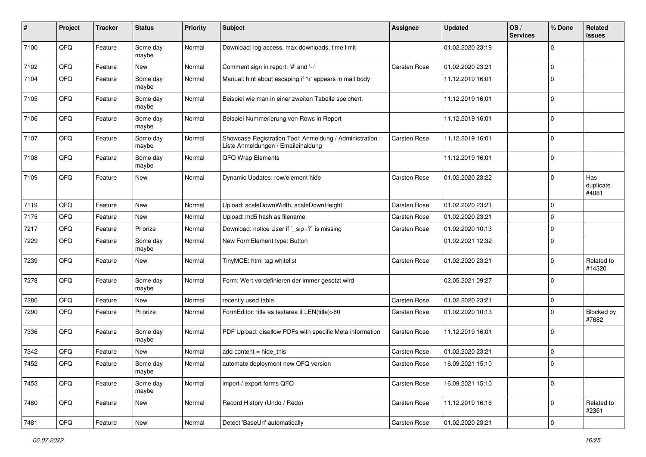| #    | Project | <b>Tracker</b> | <b>Status</b>     | Priority | <b>Subject</b>                                                                                 | Assignee     | <b>Updated</b>   | OS/<br><b>Services</b> | % Done      | Related<br><b>issues</b>  |
|------|---------|----------------|-------------------|----------|------------------------------------------------------------------------------------------------|--------------|------------------|------------------------|-------------|---------------------------|
| 7100 | QFQ     | Feature        | Some day<br>maybe | Normal   | Download: log access, max downloads, time limit                                                |              | 01.02.2020 23:19 |                        | $\Omega$    |                           |
| 7102 | QFQ     | Feature        | New               | Normal   | Comment sign in report: '#' and '--'                                                           | Carsten Rose | 01.02.2020 23:21 |                        | $\mathbf 0$ |                           |
| 7104 | QFQ     | Feature        | Some day<br>maybe | Normal   | Manual: hint about escaping if '\r' appears in mail body                                       |              | 11.12.2019 16:01 |                        | $\mathbf 0$ |                           |
| 7105 | QFQ     | Feature        | Some day<br>maybe | Normal   | Beispiel wie man in einer zweiten Tabelle speichert.                                           |              | 11.12.2019 16:01 |                        | $\mathbf 0$ |                           |
| 7106 | QFQ     | Feature        | Some day<br>maybe | Normal   | Beispiel Nummerierung von Rows in Report                                                       |              | 11.12.2019 16:01 |                        | $\Omega$    |                           |
| 7107 | QFQ     | Feature        | Some day<br>maybe | Normal   | Showcase Registration Tool: Anmeldung / Administration :<br>Liste Anmeldungen / Emaileinaldung | Carsten Rose | 11.12.2019 16:01 |                        | $\Omega$    |                           |
| 7108 | QFQ     | Feature        | Some day<br>maybe | Normal   | QFQ Wrap Elements                                                                              |              | 11.12.2019 16:01 |                        | $\Omega$    |                           |
| 7109 | QFQ     | Feature        | New               | Normal   | Dynamic Updates: row/element hide                                                              | Carsten Rose | 01.02.2020 23:22 |                        | $\Omega$    | Has<br>duplicate<br>#4081 |
| 7119 | QFQ     | Feature        | <b>New</b>        | Normal   | Upload: scaleDownWidth, scaleDownHeight                                                        | Carsten Rose | 01.02.2020 23:21 |                        | $\Omega$    |                           |
| 7175 | QFQ     | Feature        | New               | Normal   | Upload: md5 hash as filename                                                                   | Carsten Rose | 01.02.2020 23:21 |                        | $\mathbf 0$ |                           |
| 7217 | QFQ     | Feature        | Priorize          | Normal   | Download: notice User if `_sip=?` is missing                                                   | Carsten Rose | 01.02.2020 10:13 |                        | $\mathbf 0$ |                           |
| 7229 | QFQ     | Feature        | Some day<br>maybe | Normal   | New FormElement.type: Button                                                                   |              | 01.02.2021 12:32 |                        | $\mathbf 0$ |                           |
| 7239 | QFQ     | Feature        | New               | Normal   | TinyMCE: html tag whitelist                                                                    | Carsten Rose | 01.02.2020 23:21 |                        | $\mathbf 0$ | Related to<br>#14320      |
| 7278 | QFQ     | Feature        | Some day<br>maybe | Normal   | Form: Wert vordefinieren der immer gesetzt wird                                                |              | 02.05.2021 09:27 |                        | $\Omega$    |                           |
| 7280 | QFQ     | Feature        | New               | Normal   | recently used table                                                                            | Carsten Rose | 01.02.2020 23:21 |                        | $\mathbf 0$ |                           |
| 7290 | QFQ     | Feature        | Priorize          | Normal   | FormEditor: title as textarea if LEN(title)>60                                                 | Carsten Rose | 01.02.2020 10:13 |                        | $\Omega$    | Blocked by<br>#7682       |
| 7336 | QFQ     | Feature        | Some day<br>maybe | Normal   | PDF Upload: disallow PDFs with specific Meta information                                       | Carsten Rose | 11.12.2019 16:01 |                        | $\Omega$    |                           |
| 7342 | QFQ     | Feature        | New               | Normal   | add content = hide_this                                                                        | Carsten Rose | 01.02.2020 23:21 |                        | $\mathbf 0$ |                           |
| 7452 | QFQ     | Feature        | Some day<br>maybe | Normal   | automate deployment new QFQ version                                                            | Carsten Rose | 16.09.2021 15:10 |                        | $\Omega$    |                           |
| 7453 | QFQ     | Feature        | Some day<br>maybe | Normal   | import / export forms QFQ                                                                      | Carsten Rose | 16.09.2021 15:10 |                        | $\mathbf 0$ |                           |
| 7480 | QFQ     | Feature        | New               | Normal   | Record History (Undo / Redo)                                                                   | Carsten Rose | 11.12.2019 16:16 |                        | $\mathbf 0$ | Related to<br>#2361       |
| 7481 | QFQ     | Feature        | New               | Normal   | Detect 'BaseUrl' automatically                                                                 | Carsten Rose | 01.02.2020 23:21 |                        | 0           |                           |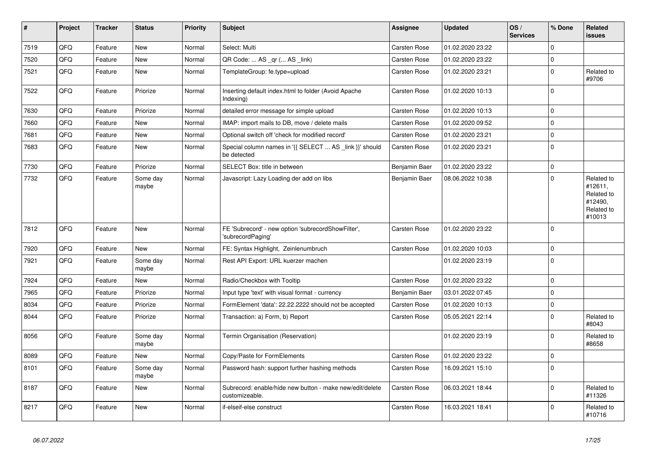| $\vert$ # | Project | <b>Tracker</b> | <b>Status</b>     | <b>Priority</b> | <b>Subject</b>                                                             | Assignee            | <b>Updated</b>   | OS/<br><b>Services</b> | % Done      | Related<br><b>issues</b>                                               |
|-----------|---------|----------------|-------------------|-----------------|----------------------------------------------------------------------------|---------------------|------------------|------------------------|-------------|------------------------------------------------------------------------|
| 7519      | QFQ     | Feature        | <b>New</b>        | Normal          | Select: Multi                                                              | <b>Carsten Rose</b> | 01.02.2020 23:22 |                        | $\Omega$    |                                                                        |
| 7520      | QFQ     | Feature        | New               | Normal          | QR Code:  AS _qr ( AS _link)                                               | Carsten Rose        | 01.02.2020 23:22 |                        | $\Omega$    |                                                                        |
| 7521      | QFQ     | Feature        | New               | Normal          | TemplateGroup: fe.type=upload                                              | Carsten Rose        | 01.02.2020 23:21 |                        | $\Omega$    | Related to<br>#9706                                                    |
| 7522      | QFQ     | Feature        | Priorize          | Normal          | Inserting default index.html to folder (Avoid Apache<br>Indexing)          | <b>Carsten Rose</b> | 01.02.2020 10:13 |                        | $\Omega$    |                                                                        |
| 7630      | QFQ     | Feature        | Priorize          | Normal          | detailed error message for simple upload                                   | Carsten Rose        | 01.02.2020 10:13 |                        | $\Omega$    |                                                                        |
| 7660      | QFQ     | Feature        | <b>New</b>        | Normal          | IMAP: import mails to DB, move / delete mails                              | <b>Carsten Rose</b> | 01.02.2020 09:52 |                        | $\Omega$    |                                                                        |
| 7681      | QFQ     | Feature        | <b>New</b>        | Normal          | Optional switch off 'check for modified record'                            | Carsten Rose        | 01.02.2020 23:21 |                        | $\mathbf 0$ |                                                                        |
| 7683      | QFQ     | Feature        | <b>New</b>        | Normal          | Special column names in '{{ SELECT  AS _link }}' should<br>be detected     | Carsten Rose        | 01.02.2020 23:21 |                        | $\Omega$    |                                                                        |
| 7730      | QFQ     | Feature        | Priorize          | Normal          | SELECT Box: title in between                                               | Benjamin Baer       | 01.02.2020 23:22 |                        | $\mathbf 0$ |                                                                        |
| 7732      | QFQ     | Feature        | Some day<br>maybe | Normal          | Javascript: Lazy Loading der add on libs                                   | Benjamin Baer       | 08.06.2022 10:38 |                        | $\Omega$    | Related to<br>#12611,<br>Related to<br>#12490.<br>Related to<br>#10013 |
| 7812      | QFQ     | Feature        | New               | Normal          | FE 'Subrecord' - new option 'subrecordShowFilter',<br>'subrecordPaging'    | <b>Carsten Rose</b> | 01.02.2020 23:22 |                        | $\Omega$    |                                                                        |
| 7920      | QFQ     | Feature        | <b>New</b>        | Normal          | FE: Syntax Highlight, Zeinlenumbruch                                       | Carsten Rose        | 01.02.2020 10:03 |                        | $\Omega$    |                                                                        |
| 7921      | QFQ     | Feature        | Some day<br>maybe | Normal          | Rest API Export: URL kuerzer machen                                        |                     | 01.02.2020 23:19 |                        | $\Omega$    |                                                                        |
| 7924      | QFQ     | Feature        | <b>New</b>        | Normal          | Radio/Checkbox with Tooltip                                                | Carsten Rose        | 01.02.2020 23:22 |                        | $\Omega$    |                                                                        |
| 7965      | QFQ     | Feature        | Priorize          | Normal          | Input type 'text' with visual format - currency                            | Benjamin Baer       | 03.01.2022 07:45 |                        | $\Omega$    |                                                                        |
| 8034      | QFQ     | Feature        | Priorize          | Normal          | FormElement 'data': 22.22.2222 should not be accepted                      | Carsten Rose        | 01.02.2020 10:13 |                        | $\mathbf 0$ |                                                                        |
| 8044      | QFQ     | Feature        | Priorize          | Normal          | Transaction: a) Form, b) Report                                            | Carsten Rose        | 05.05.2021 22:14 |                        | $\Omega$    | Related to<br>#8043                                                    |
| 8056      | QFQ     | Feature        | Some day<br>maybe | Normal          | Termin Organisation (Reservation)                                          |                     | 01.02.2020 23:19 |                        | $\Omega$    | Related to<br>#8658                                                    |
| 8089      | QFQ     | Feature        | <b>New</b>        | Normal          | Copy/Paste for FormElements                                                | <b>Carsten Rose</b> | 01.02.2020 23:22 |                        | $\Omega$    |                                                                        |
| 8101      | QFQ     | Feature        | Some day<br>maybe | Normal          | Password hash: support further hashing methods                             | <b>Carsten Rose</b> | 16.09.2021 15:10 |                        | $\Omega$    |                                                                        |
| 8187      | QFQ     | Feature        | New               | Normal          | Subrecord: enable/hide new button - make new/edit/delete<br>customizeable. | <b>Carsten Rose</b> | 06.03.2021 18:44 |                        | $\Omega$    | Related to<br>#11326                                                   |
| 8217      | QFQ     | Feature        | New               | Normal          | if-elseif-else construct                                                   | Carsten Rose        | 16.03.2021 18:41 |                        | $\Omega$    | Related to<br>#10716                                                   |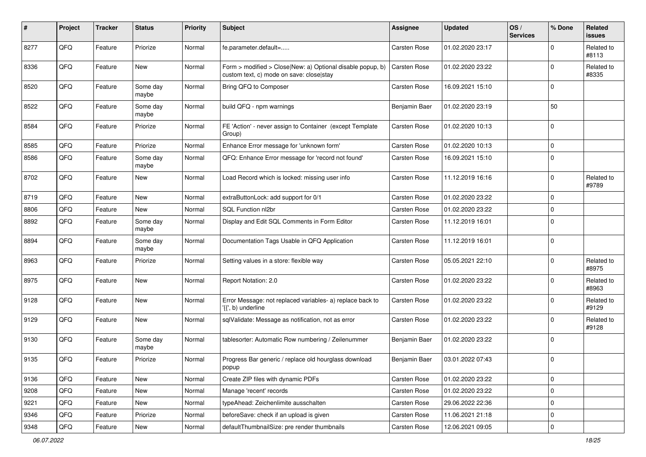| #    | Project | <b>Tracker</b> | <b>Status</b>     | <b>Priority</b> | Subject                                                                                                | <b>Assignee</b>     | <b>Updated</b>   | OS/<br><b>Services</b> | % Done      | Related<br>issues   |
|------|---------|----------------|-------------------|-----------------|--------------------------------------------------------------------------------------------------------|---------------------|------------------|------------------------|-------------|---------------------|
| 8277 | QFQ     | Feature        | Priorize          | Normal          | fe.parameter.default=                                                                                  | Carsten Rose        | 01.02.2020 23:17 |                        | $\Omega$    | Related to<br>#8113 |
| 8336 | QFQ     | Feature        | New               | Normal          | Form > modified > Close New: a) Optional disable popup, b)<br>custom text, c) mode on save: closelstay | <b>Carsten Rose</b> | 01.02.2020 23:22 |                        | 0           | Related to<br>#8335 |
| 8520 | QFQ     | Feature        | Some day<br>maybe | Normal          | Bring QFQ to Composer                                                                                  | Carsten Rose        | 16.09.2021 15:10 |                        | 0           |                     |
| 8522 | QFQ     | Feature        | Some day<br>maybe | Normal          | build QFQ - npm warnings                                                                               | Benjamin Baer       | 01.02.2020 23:19 |                        | 50          |                     |
| 8584 | QFQ     | Feature        | Priorize          | Normal          | FE 'Action' - never assign to Container (except Template<br>Group)                                     | <b>Carsten Rose</b> | 01.02.2020 10:13 |                        | $\Omega$    |                     |
| 8585 | QFQ     | Feature        | Priorize          | Normal          | Enhance Error message for 'unknown form'                                                               | Carsten Rose        | 01.02.2020 10:13 |                        | $\Omega$    |                     |
| 8586 | QFQ     | Feature        | Some day<br>maybe | Normal          | QFQ: Enhance Error message for 'record not found'                                                      | <b>Carsten Rose</b> | 16.09.2021 15:10 |                        | 0           |                     |
| 8702 | QFQ     | Feature        | New               | Normal          | Load Record which is locked: missing user info                                                         | Carsten Rose        | 11.12.2019 16:16 |                        | 0           | Related to<br>#9789 |
| 8719 | QFQ     | Feature        | <b>New</b>        | Normal          | extraButtonLock: add support for 0/1                                                                   | <b>Carsten Rose</b> | 01.02.2020 23:22 |                        | $\Omega$    |                     |
| 8806 | QFQ     | Feature        | New               | Normal          | SQL Function nl2br                                                                                     | <b>Carsten Rose</b> | 01.02.2020 23:22 |                        | $\Omega$    |                     |
| 8892 | QFQ     | Feature        | Some day<br>maybe | Normal          | Display and Edit SQL Comments in Form Editor                                                           | <b>Carsten Rose</b> | 11.12.2019 16:01 |                        | $\mathbf 0$ |                     |
| 8894 | QFQ     | Feature        | Some day<br>maybe | Normal          | Documentation Tags Usable in QFQ Application                                                           | <b>Carsten Rose</b> | 11.12.2019 16:01 |                        | $\mathbf 0$ |                     |
| 8963 | QFQ     | Feature        | Priorize          | Normal          | Setting values in a store: flexible way                                                                | <b>Carsten Rose</b> | 05.05.2021 22:10 |                        | $\Omega$    | Related to<br>#8975 |
| 8975 | QFQ     | Feature        | <b>New</b>        | Normal          | Report Notation: 2.0                                                                                   | <b>Carsten Rose</b> | 01.02.2020 23:22 |                        | $\Omega$    | Related to<br>#8963 |
| 9128 | QFQ     | Feature        | <b>New</b>        | Normal          | Error Message: not replaced variables- a) replace back to<br>'{{', b) underline                        | <b>Carsten Rose</b> | 01.02.2020 23:22 |                        | $\Omega$    | Related to<br>#9129 |
| 9129 | QFQ     | Feature        | New               | Normal          | sqlValidate: Message as notification, not as error                                                     | Carsten Rose        | 01.02.2020 23:22 |                        | $\Omega$    | Related to<br>#9128 |
| 9130 | QFQ     | Feature        | Some day<br>maybe | Normal          | tablesorter: Automatic Row numbering / Zeilenummer                                                     | Benjamin Baer       | 01.02.2020 23:22 |                        | $\Omega$    |                     |
| 9135 | QFQ     | Feature        | Priorize          | Normal          | Progress Bar generic / replace old hourglass download<br>popup                                         | Benjamin Baer       | 03.01.2022 07:43 |                        | 0           |                     |
| 9136 | QFQ     | Feature        | New               | Normal          | Create ZIP files with dynamic PDFs                                                                     | Carsten Rose        | 01.02.2020 23:22 |                        | $\mathbf 0$ |                     |
| 9208 | QFQ     | Feature        | New               | Normal          | Manage 'recent' records                                                                                | Carsten Rose        | 01.02.2020 23:22 |                        | 0           |                     |
| 9221 | QFQ     | Feature        | New               | Normal          | typeAhead: Zeichenlimite ausschalten                                                                   | Carsten Rose        | 29.06.2022 22:36 |                        | 0           |                     |
| 9346 | QFG     | Feature        | Priorize          | Normal          | beforeSave: check if an upload is given                                                                | Carsten Rose        | 11.06.2021 21:18 |                        | 0           |                     |
| 9348 | QFG     | Feature        | New               | Normal          | defaultThumbnailSize: pre render thumbnails                                                            | Carsten Rose        | 12.06.2021 09:05 |                        | 0           |                     |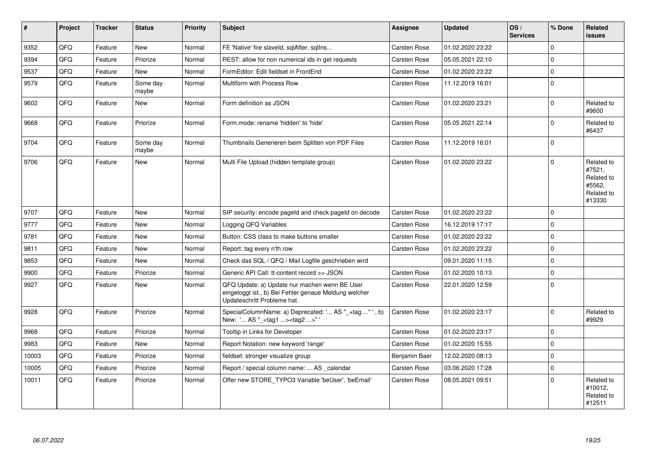| $\vert$ # | Project | <b>Tracker</b> | <b>Status</b>     | Priority | <b>Subject</b>                                                                                                                        | Assignee            | <b>Updated</b>   | OS/<br><b>Services</b> | % Done      | Related<br>issues                                                    |
|-----------|---------|----------------|-------------------|----------|---------------------------------------------------------------------------------------------------------------------------------------|---------------------|------------------|------------------------|-------------|----------------------------------------------------------------------|
| 9352      | QFQ     | Feature        | New               | Normal   | FE 'Native' fire slaveld, sqlAfter, sqlIns                                                                                            | Carsten Rose        | 01.02.2020 23:22 |                        | $\Omega$    |                                                                      |
| 9394      | QFQ     | Feature        | Priorize          | Normal   | REST: allow for non numerical ids in get requests                                                                                     | <b>Carsten Rose</b> | 05.05.2021 22:10 |                        | $\mathbf 0$ |                                                                      |
| 9537      | QFQ     | Feature        | <b>New</b>        | Normal   | FormEditor: Edit fieldset in FrontEnd                                                                                                 | Carsten Rose        | 01.02.2020 23:22 |                        | $\Omega$    |                                                                      |
| 9579      | QFQ     | Feature        | Some day<br>maybe | Normal   | Multiform with Process Row                                                                                                            | <b>Carsten Rose</b> | 11.12.2019 16:01 |                        | $\Omega$    |                                                                      |
| 9602      | QFQ     | Feature        | <b>New</b>        | Normal   | Form definition as JSON                                                                                                               | <b>Carsten Rose</b> | 01.02.2020 23:21 |                        | $\Omega$    | Related to<br>#9600                                                  |
| 9668      | QFQ     | Feature        | Priorize          | Normal   | Form.mode: rename 'hidden' to 'hide'                                                                                                  | <b>Carsten Rose</b> | 05.05.2021 22:14 |                        | $\mathbf 0$ | Related to<br>#6437                                                  |
| 9704      | QFQ     | Feature        | Some day<br>maybe | Normal   | Thumbnails Generieren beim Splitten von PDF Files                                                                                     | Carsten Rose        | 11.12.2019 16:01 |                        | $\Omega$    |                                                                      |
| 9706      | QFQ     | Feature        | New               | Normal   | Multi File Upload (hidden template group)                                                                                             | <b>Carsten Rose</b> | 01.02.2020 23:22 |                        | $\Omega$    | Related to<br>#7521,<br>Related to<br>#5562,<br>Related to<br>#13330 |
| 9707      | QFQ     | Feature        | <b>New</b>        | Normal   | SIP security: encode pageld and check pageld on decode                                                                                | Carsten Rose        | 01.02.2020 23:22 |                        | $\Omega$    |                                                                      |
| 9777      | QFQ     | Feature        | New               | Normal   | Logging QFQ Variables                                                                                                                 | Carsten Rose        | 16.12.2019 17:17 |                        | $\mathbf 0$ |                                                                      |
| 9781      | QFQ     | Feature        | <b>New</b>        | Normal   | Button: CSS class to make buttons smaller                                                                                             | <b>Carsten Rose</b> | 01.02.2020 23:22 |                        | $\Omega$    |                                                                      |
| 9811      | QFQ     | Feature        | <b>New</b>        | Normal   | Report: tag every n'th row                                                                                                            | <b>Carsten Rose</b> | 01.02.2020 23:22 |                        | $\Omega$    |                                                                      |
| 9853      | QFQ     | Feature        | New               | Normal   | Check das SQL / QFQ / Mail Logfile geschrieben wird                                                                                   |                     | 09.01.2020 11:15 |                        | $\mathbf 0$ |                                                                      |
| 9900      | QFQ     | Feature        | Priorize          | Normal   | Generic API Call: tt-content record >> JSON                                                                                           | <b>Carsten Rose</b> | 01.02.2020 10:13 |                        | $\Omega$    |                                                                      |
| 9927      | QFQ     | Feature        | <b>New</b>        | Normal   | QFQ Update: a) Update nur machen wenn BE User<br>eingeloggt ist., b) Bei Fehler genaue Meldung welcher<br>Updateschritt Probleme hat. | Carsten Rose        | 22.01.2020 12:59 |                        | $\Omega$    |                                                                      |
| 9928      | QFQ     | Feature        | Priorize          | Normal   | SpecialColumnName: a) Deprecated: ' AS "_+tag " ', b)<br>New: ' AS "_ <tag1><tag2>"'</tag2></tag1>                                    | <b>Carsten Rose</b> | 01.02.2020 23:17 |                        | $\Omega$    | Related to<br>#9929                                                  |
| 9968      | QFQ     | Feature        | Priorize          | Normal   | Tooltip in Links for Developer                                                                                                        | <b>Carsten Rose</b> | 01.02.2020 23:17 |                        | $\mathbf 0$ |                                                                      |
| 9983      | QFQ     | Feature        | New               | Normal   | Report Notation: new keyword 'range'                                                                                                  | Carsten Rose        | 01.02.2020 15:55 |                        | $\Omega$    |                                                                      |
| 10003     | QFQ     | Feature        | Priorize          | Normal   | fieldset: stronger visualize group                                                                                                    | Benjamin Baer       | 12.02.2020 08:13 |                        | $\Omega$    |                                                                      |
| 10005     | QFQ     | Feature        | Priorize          | Normal   | Report / special column name:  AS calendar                                                                                            | <b>Carsten Rose</b> | 03.06.2020 17:28 |                        | $\Omega$    |                                                                      |
| 10011     | QFQ     | Feature        | Priorize          | Normal   | Offer new STORE TYPO3 Variable 'beUser', 'beEmail'                                                                                    | Carsten Rose        | 08.05.2021 09:51 |                        | $\Omega$    | Related to<br>#10012,<br>Related to<br>#12511                        |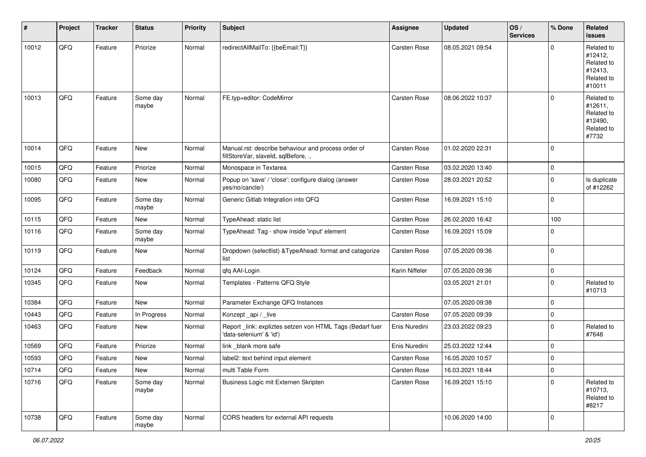| #     | Project | <b>Tracker</b> | <b>Status</b>     | <b>Priority</b> | <b>Subject</b>                                                                           | Assignee       | <b>Updated</b>   | OS/<br><b>Services</b> | % Done      | Related<br><b>issues</b>                                               |
|-------|---------|----------------|-------------------|-----------------|------------------------------------------------------------------------------------------|----------------|------------------|------------------------|-------------|------------------------------------------------------------------------|
| 10012 | QFQ     | Feature        | Priorize          | Normal          | redirectAllMailTo: {{beEmail:T}}                                                         | Carsten Rose   | 08.05.2021 09:54 |                        | $\mathbf 0$ | Related to<br>#12412,<br>Related to<br>#12413,<br>Related to<br>#10011 |
| 10013 | QFQ     | Feature        | Some day<br>maybe | Normal          | FE.typ=editor: CodeMirror                                                                | Carsten Rose   | 08.06.2022 10:37 |                        | $\mathbf 0$ | Related to<br>#12611,<br>Related to<br>#12490,<br>Related to<br>#7732  |
| 10014 | QFQ     | Feature        | New               | Normal          | Manual.rst: describe behaviour and process order of<br>fillStoreVar, slaveId, sqlBefore, | Carsten Rose   | 01.02.2020 22:31 |                        | $\mathbf 0$ |                                                                        |
| 10015 | QFQ     | Feature        | Priorize          | Normal          | Monospace in Textarea                                                                    | Carsten Rose   | 03.02.2020 13:40 |                        | $\pmb{0}$   |                                                                        |
| 10080 | QFQ     | Feature        | New               | Normal          | Popup on 'save' / 'close': configure dialog (answer<br>yes/no/cancle/)                   | Carsten Rose   | 28.03.2021 20:52 |                        | $\mathbf 0$ | Is duplicate<br>of #12262                                              |
| 10095 | QFQ     | Feature        | Some day<br>maybe | Normal          | Generic Gitlab Integration into QFQ                                                      | Carsten Rose   | 16.09.2021 15:10 |                        | $\mathbf 0$ |                                                                        |
| 10115 | QFQ     | Feature        | New               | Normal          | TypeAhead: static list                                                                   | Carsten Rose   | 26.02.2020 16:42 |                        | 100         |                                                                        |
| 10116 | QFQ     | Feature        | Some day<br>maybe | Normal          | TypeAhead: Tag - show inside 'input' element                                             | Carsten Rose   | 16.09.2021 15:09 |                        | $\mathbf 0$ |                                                                        |
| 10119 | QFQ     | Feature        | New               | Normal          | Dropdown (selectlist) & TypeAhead: format and catagorize<br>list                         | Carsten Rose   | 07.05.2020 09:36 |                        | $\mathbf 0$ |                                                                        |
| 10124 | QFQ     | Feature        | Feedback          | Normal          | qfq AAI-Login                                                                            | Karin Niffeler | 07.05.2020 09:36 |                        | $\mathbf 0$ |                                                                        |
| 10345 | QFQ     | Feature        | New               | Normal          | Templates - Patterns QFQ Style                                                           |                | 03.05.2021 21:01 |                        | $\mathbf 0$ | Related to<br>#10713                                                   |
| 10384 | QFQ     | Feature        | New               | Normal          | Parameter Exchange QFQ Instances                                                         |                | 07.05.2020 09:38 |                        | $\mathbf 0$ |                                                                        |
| 10443 | QFQ     | Feature        | In Progress       | Normal          | Konzept_api / _live                                                                      | Carsten Rose   | 07.05.2020 09:39 |                        | $\mathbf 0$ |                                                                        |
| 10463 | QFQ     | Feature        | New               | Normal          | Report_link: expliztes setzen von HTML Tags (Bedarf fuer<br>'data-selenium' & 'id')      | Enis Nuredini  | 23.03.2022 09:23 |                        | $\mathbf 0$ | Related to<br>#7648                                                    |
| 10569 | QFQ     | Feature        | Priorize          | Normal          | link _blank more safe                                                                    | Enis Nuredini  | 25.03.2022 12:44 |                        | $\mathbf 0$ |                                                                        |
| 10593 | QFQ     | Feature        | <b>New</b>        | Normal          | label2: text behind input element                                                        | Carsten Rose   | 16.05.2020 10:57 |                        | $\mathbf 0$ |                                                                        |
| 10714 | QFQ     | Feature        | New               | Normal          | multi Table Form                                                                         | Carsten Rose   | 16.03.2021 18:44 |                        | 0           |                                                                        |
| 10716 | QFQ     | Feature        | Some day<br>maybe | Normal          | Business Logic mit Externen Skripten                                                     | Carsten Rose   | 16.09.2021 15:10 |                        | $\mathbf 0$ | Related to<br>#10713,<br>Related to<br>#8217                           |
| 10738 | QFQ     | Feature        | Some day<br>maybe | Normal          | CORS headers for external API requests                                                   |                | 10.06.2020 14:00 |                        | $\mathbf 0$ |                                                                        |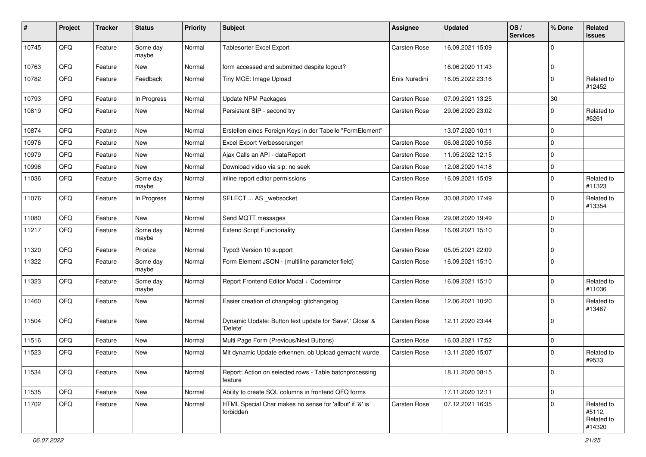| #     | Project | <b>Tracker</b> | <b>Status</b>     | <b>Priority</b> | Subject                                                              | Assignee      | <b>Updated</b>   | OS/<br><b>Services</b> | % Done      | Related<br>issues                            |
|-------|---------|----------------|-------------------|-----------------|----------------------------------------------------------------------|---------------|------------------|------------------------|-------------|----------------------------------------------|
| 10745 | QFQ     | Feature        | Some day<br>maybe | Normal          | <b>Tablesorter Excel Export</b>                                      | Carsten Rose  | 16.09.2021 15:09 |                        | $\Omega$    |                                              |
| 10763 | QFQ     | Feature        | <b>New</b>        | Normal          | form accessed and submitted despite logout?                          |               | 16.06.2020 11:43 |                        | $\Omega$    |                                              |
| 10782 | QFQ     | Feature        | Feedback          | Normal          | Tiny MCE: Image Upload                                               | Enis Nuredini | 16.05.2022 23:16 |                        | $\Omega$    | Related to<br>#12452                         |
| 10793 | QFQ     | Feature        | In Progress       | Normal          | <b>Update NPM Packages</b>                                           | Carsten Rose  | 07.09.2021 13:25 |                        | 30          |                                              |
| 10819 | QFQ     | Feature        | New               | Normal          | Persistent SIP - second try                                          | Carsten Rose  | 29.06.2020 23:02 |                        | 0           | Related to<br>#6261                          |
| 10874 | QFQ     | Feature        | <b>New</b>        | Normal          | Erstellen eines Foreign Keys in der Tabelle "FormElement"            |               | 13.07.2020 10:11 |                        | $\mathbf 0$ |                                              |
| 10976 | QFQ     | Feature        | New               | Normal          | Excel Export Verbesserungen                                          | Carsten Rose  | 06.08.2020 10:56 |                        | $\mathbf 0$ |                                              |
| 10979 | QFQ     | Feature        | <b>New</b>        | Normal          | Ajax Calls an API - dataReport                                       | Carsten Rose  | 11.05.2022 12:15 |                        | $\Omega$    |                                              |
| 10996 | QFQ     | Feature        | <b>New</b>        | Normal          | Download video via sip: no seek                                      | Carsten Rose  | 12.08.2020 14:18 |                        | $\Omega$    |                                              |
| 11036 | QFQ     | Feature        | Some day<br>maybe | Normal          | inline report editor permissions                                     | Carsten Rose  | 16.09.2021 15:09 |                        | $\Omega$    | Related to<br>#11323                         |
| 11076 | QFQ     | Feature        | In Progress       | Normal          | SELECT  AS _websocket                                                | Carsten Rose  | 30.08.2020 17:49 |                        | $\Omega$    | Related to<br>#13354                         |
| 11080 | QFQ     | Feature        | <b>New</b>        | Normal          | Send MQTT messages                                                   | Carsten Rose  | 29.08.2020 19:49 |                        | $\mathbf 0$ |                                              |
| 11217 | QFQ     | Feature        | Some day<br>maybe | Normal          | <b>Extend Script Functionality</b>                                   | Carsten Rose  | 16.09.2021 15:10 |                        | $\mathbf 0$ |                                              |
| 11320 | QFQ     | Feature        | Priorize          | Normal          | Typo3 Version 10 support                                             | Carsten Rose  | 05.05.2021 22:09 |                        | $\mathbf 0$ |                                              |
| 11322 | QFQ     | Feature        | Some day<br>maybe | Normal          | Form Element JSON - (multiline parameter field)                      | Carsten Rose  | 16.09.2021 15:10 |                        | $\Omega$    |                                              |
| 11323 | QFQ     | Feature        | Some day<br>maybe | Normal          | Report Frontend Editor Modal + Codemirror                            | Carsten Rose  | 16.09.2021 15:10 |                        | $\Omega$    | Related to<br>#11036                         |
| 11460 | QFQ     | Feature        | <b>New</b>        | Normal          | Easier creation of changelog: gitchangelog                           | Carsten Rose  | 12.06.2021 10:20 |                        | $\Omega$    | Related to<br>#13467                         |
| 11504 | QFQ     | Feature        | <b>New</b>        | Normal          | Dynamic Update: Button text update for 'Save',' Close' &<br>'Delete' | Carsten Rose  | 12.11.2020 23:44 |                        | $\Omega$    |                                              |
| 11516 | QFQ     | Feature        | New               | Normal          | Multi Page Form (Previous/Next Buttons)                              | Carsten Rose  | 16.03.2021 17:52 |                        | $\mathbf 0$ |                                              |
| 11523 | QFQ     | Feature        | New               | Normal          | Mit dynamic Update erkennen, ob Upload gemacht wurde                 | Carsten Rose  | 13.11.2020 15:07 |                        | $\Omega$    | Related to<br>#9533                          |
| 11534 | QFQ     | Feature        | New               | Normal          | Report: Action on selected rows - Table batchprocessing<br>feature   |               | 18.11.2020 08:15 |                        | $\mathbf 0$ |                                              |
| 11535 | QFG     | Feature        | New               | Normal          | Ability to create SQL columns in frontend QFQ forms                  |               | 17.11.2020 12:11 |                        | $\mathbf 0$ |                                              |
| 11702 | QFQ     | Feature        | New               | Normal          | HTML Special Char makes no sense for 'allbut' if '&' is<br>forbidden | Carsten Rose  | 07.12.2021 16:35 |                        | $\mathbf 0$ | Related to<br>#5112,<br>Related to<br>#14320 |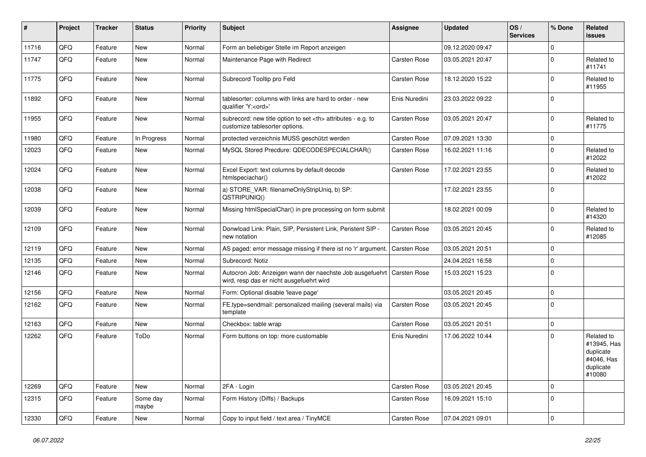| #     | Project | <b>Tracker</b> | <b>Status</b>     | <b>Priority</b> | Subject                                                                                                             | Assignee                                               | <b>Updated</b>   | OS/<br><b>Services</b> | % Done      | Related<br><b>issues</b>                                                    |                      |
|-------|---------|----------------|-------------------|-----------------|---------------------------------------------------------------------------------------------------------------------|--------------------------------------------------------|------------------|------------------------|-------------|-----------------------------------------------------------------------------|----------------------|
| 11716 | QFQ     | Feature        | <b>New</b>        | Normal          | Form an beliebiger Stelle im Report anzeigen                                                                        |                                                        | 09.12.2020 09:47 |                        | $\Omega$    |                                                                             |                      |
| 11747 | QFQ     | Feature        | New               | Normal          | Maintenance Page with Redirect                                                                                      | Carsten Rose                                           | 03.05.2021 20:47 |                        | $\Omega$    | Related to<br>#11741                                                        |                      |
| 11775 | QFQ     | Feature        | <b>New</b>        | Normal          | Subrecord Tooltip pro Feld                                                                                          | Carsten Rose                                           | 18.12.2020 15:22 |                        | $\Omega$    | Related to<br>#11955                                                        |                      |
| 11892 | QFQ     | Feature        | <b>New</b>        | Normal          | tablesorter: columns with links are hard to order - new<br>qualifier 'Y: <ord>'</ord>                               | Enis Nuredini                                          | 23.03.2022 09:22 |                        | $\Omega$    |                                                                             |                      |
| 11955 | QFQ     | Feature        | <b>New</b>        | Normal          | subrecord: new title option to set <th> attributes - e.g. to<br/>customize tablesorter options.</th>                | attributes - e.g. to<br>customize tablesorter options. | Carsten Rose     | 03.05.2021 20:47       |             | $\Omega$                                                                    | Related to<br>#11775 |
| 11980 | QFQ     | Feature        | In Progress       | Normal          | protected verzeichnis MUSS geschützt werden                                                                         | Carsten Rose                                           | 07.09.2021 13:30 |                        | $\mathbf 0$ |                                                                             |                      |
| 12023 | QFQ     | Feature        | New               | Normal          | MySQL Stored Precdure: QDECODESPECIALCHAR()                                                                         | Carsten Rose                                           | 16.02.2021 11:16 |                        | $\Omega$    | Related to<br>#12022                                                        |                      |
| 12024 | QFQ     | Feature        | New               | Normal          | Excel Export: text columns by default decode<br>htmlspeciachar()                                                    | Carsten Rose                                           | 17.02.2021 23:55 |                        | $\Omega$    | Related to<br>#12022                                                        |                      |
| 12038 | QFQ     | Feature        | <b>New</b>        | Normal          | a) STORE_VAR: filenameOnlyStripUniq, b) SP:<br>QSTRIPUNIQ()                                                         |                                                        | 17.02.2021 23:55 |                        | $\Omega$    |                                                                             |                      |
| 12039 | QFQ     | Feature        | <b>New</b>        | Normal          | Missing htmlSpecialChar() in pre processing on form submit                                                          |                                                        | 18.02.2021 00:09 |                        | $\Omega$    | Related to<br>#14320                                                        |                      |
| 12109 | QFQ     | Feature        | <b>New</b>        | Normal          | Donwload Link: Plain, SIP, Persistent Link, Peristent SIP -<br>new notation                                         | <b>Carsten Rose</b>                                    | 03.05.2021 20:45 |                        | $\Omega$    | Related to<br>#12085                                                        |                      |
| 12119 | QFQ     | Feature        | <b>New</b>        | Normal          | AS paged: error message missing if there ist no 'r' argument.                                                       | <b>Carsten Rose</b>                                    | 03.05.2021 20:51 |                        | $\Omega$    |                                                                             |                      |
| 12135 | QFQ     | Feature        | New               | Normal          | Subrecord: Notiz                                                                                                    |                                                        | 24.04.2021 16:58 |                        | $\Omega$    |                                                                             |                      |
| 12146 | QFQ     | Feature        | <b>New</b>        | Normal          | Autocron Job: Anzeigen wann der naechste Job ausgefuehrt   Carsten Rose<br>wird, resp das er nicht ausgefuehrt wird |                                                        | 15.03.2021 15:23 |                        | $\Omega$    |                                                                             |                      |
| 12156 | QFQ     | Feature        | <b>New</b>        | Normal          | Form: Optional disable 'leave page'                                                                                 |                                                        | 03.05.2021 20:45 |                        | $\mathbf 0$ |                                                                             |                      |
| 12162 | QFQ     | Feature        | New               | Normal          | FE.type=sendmail: personalized mailing (several mails) via<br>template                                              | Carsten Rose                                           | 03.05.2021 20:45 |                        | $\Omega$    |                                                                             |                      |
| 12163 | QFQ     | Feature        | <b>New</b>        | Normal          | Checkbox: table wrap                                                                                                | Carsten Rose                                           | 03.05.2021 20:51 |                        | $\mathbf 0$ |                                                                             |                      |
| 12262 | QFQ     | Feature        | ToDo              | Normal          | Form buttons on top: more customable                                                                                | Enis Nuredini                                          | 17.06.2022 10:44 |                        | $\Omega$    | Related to<br>#13945, Has<br>duplicate<br>#4046, Has<br>duplicate<br>#10080 |                      |
| 12269 | QFQ     | Feature        | New               | Normal          | 2FA - Login                                                                                                         | Carsten Rose                                           | 03.05.2021 20:45 |                        | $\mathbf 0$ |                                                                             |                      |
| 12315 | QFQ     | Feature        | Some day<br>maybe | Normal          | Form History (Diffs) / Backups                                                                                      | Carsten Rose                                           | 16.09.2021 15:10 |                        | $\mathbf 0$ |                                                                             |                      |
| 12330 | QFG     | Feature        | New               | Normal          | Copy to input field / text area / TinyMCE                                                                           | Carsten Rose                                           | 07.04.2021 09:01 |                        | $\mathbf 0$ |                                                                             |                      |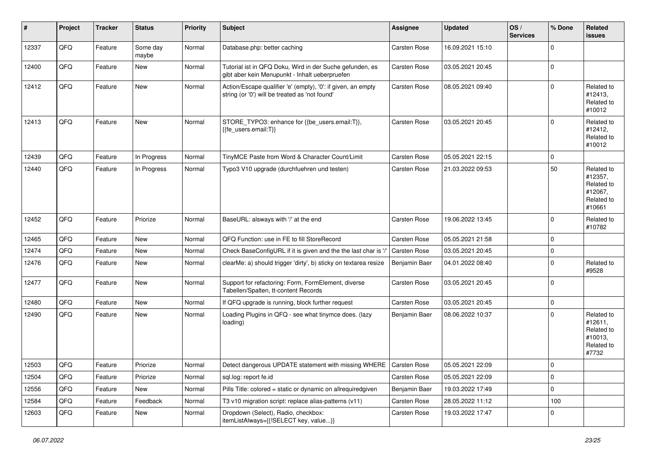| #     | Project | <b>Tracker</b> | <b>Status</b>     | <b>Priority</b> | Subject                                                                                                        | <b>Assignee</b> | <b>Updated</b>   | OS/<br><b>Services</b> | % Done      | Related<br><b>issues</b>                                               |
|-------|---------|----------------|-------------------|-----------------|----------------------------------------------------------------------------------------------------------------|-----------------|------------------|------------------------|-------------|------------------------------------------------------------------------|
| 12337 | QFQ     | Feature        | Some day<br>maybe | Normal          | Database.php: better caching                                                                                   | Carsten Rose    | 16.09.2021 15:10 |                        | $\mathbf 0$ |                                                                        |
| 12400 | QFQ     | Feature        | New               | Normal          | Tutorial ist in QFQ Doku, Wird in der Suche gefunden, es<br>gibt aber kein Menupunkt - Inhalt ueberpruefen     | Carsten Rose    | 03.05.2021 20:45 |                        | $\mathbf 0$ |                                                                        |
| 12412 | QFQ     | Feature        | New               | Normal          | Action/Escape qualifier 'e' (empty), '0': if given, an empty<br>string (or '0') will be treated as 'not found' | Carsten Rose    | 08.05.2021 09:40 |                        | $\Omega$    | Related to<br>#12413,<br>Related to<br>#10012                          |
| 12413 | QFQ     | Feature        | New               | Normal          | STORE_TYPO3: enhance for {{be_users.email:T}},<br>{{fe_users.email:T}}                                         | Carsten Rose    | 03.05.2021 20:45 |                        | $\mathbf 0$ | Related to<br>#12412,<br>Related to<br>#10012                          |
| 12439 | QFQ     | Feature        | In Progress       | Normal          | TinyMCE Paste from Word & Character Count/Limit                                                                | Carsten Rose    | 05.05.2021 22:15 |                        | $\mathbf 0$ |                                                                        |
| 12440 | QFQ     | Feature        | In Progress       | Normal          | Typo3 V10 upgrade (durchfuehren und testen)                                                                    | Carsten Rose    | 21.03.2022 09:53 |                        | 50          | Related to<br>#12357,<br>Related to<br>#12067,<br>Related to<br>#10661 |
| 12452 | QFQ     | Feature        | Priorize          | Normal          | BaseURL: alsways with '/' at the end                                                                           | Carsten Rose    | 19.06.2022 13:45 |                        | $\mathbf 0$ | Related to<br>#10782                                                   |
| 12465 | QFQ     | Feature        | New               | Normal          | QFQ Function: use in FE to fill StoreRecord                                                                    | Carsten Rose    | 05.05.2021 21:58 |                        | $\mathbf 0$ |                                                                        |
| 12474 | QFQ     | Feature        | <b>New</b>        | Normal          | Check BaseConfigURL if it is given and the the last char is '/                                                 | Carsten Rose    | 03.05.2021 20:45 |                        | $\mathbf 0$ |                                                                        |
| 12476 | QFQ     | Feature        | New               | Normal          | clearMe: a) should trigger 'dirty', b) sticky on textarea resize                                               | Benjamin Baer   | 04.01.2022 08:40 |                        | $\mathbf 0$ | Related to<br>#9528                                                    |
| 12477 | QFQ     | Feature        | New               | Normal          | Support for refactoring: Form, FormElement, diverse<br>Tabellen/Spalten, tt-content Records                    | Carsten Rose    | 03.05.2021 20:45 |                        | $\mathbf 0$ |                                                                        |
| 12480 | QFQ     | Feature        | New               | Normal          | If QFQ upgrade is running, block further request                                                               | Carsten Rose    | 03.05.2021 20:45 |                        | $\mathbf 0$ |                                                                        |
| 12490 | QFQ     | Feature        | New               | Normal          | Loading Plugins in QFQ - see what tinymce does. (lazy<br>loading)                                              | Benjamin Baer   | 08.06.2022 10:37 |                        | $\Omega$    | Related to<br>#12611,<br>Related to<br>#10013,<br>Related to<br>#7732  |
| 12503 | QFG     | Feature        | Priorize          | Normal          | Detect dangerous UPDATE statement with missing WHERE   Carsten Rose                                            |                 | 05.05.2021 22:09 |                        | $\mathbf 0$ |                                                                        |
| 12504 | QFQ     | Feature        | Priorize          | Normal          | sql.log: report fe.id                                                                                          | Carsten Rose    | 05.05.2021 22:09 |                        | $\mathbf 0$ |                                                                        |
| 12556 | QFQ     | Feature        | New               | Normal          | Pills Title: colored = static or dynamic on allrequiredgiven                                                   | Benjamin Baer   | 19.03.2022 17:49 |                        | $\mathbf 0$ |                                                                        |
| 12584 | QFQ     | Feature        | Feedback          | Normal          | T3 v10 migration script: replace alias-patterns (v11)                                                          | Carsten Rose    | 28.05.2022 11:12 |                        | 100         |                                                                        |
| 12603 | QFQ     | Feature        | New               | Normal          | Dropdown (Select), Radio, checkbox:<br>itemListAlways={{!SELECT key, value}}                                   | Carsten Rose    | 19.03.2022 17:47 |                        | $\mathbf 0$ |                                                                        |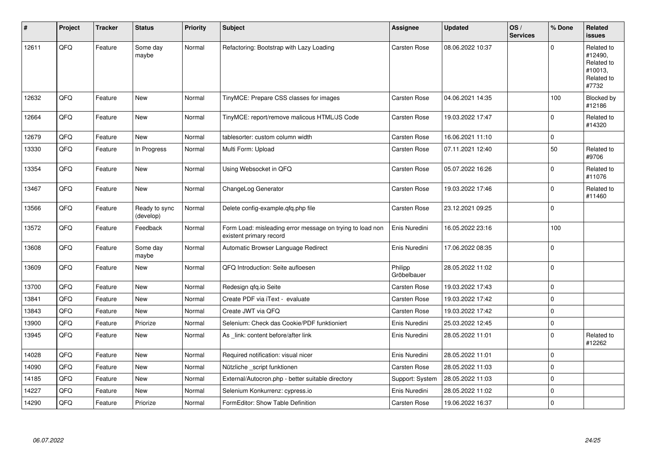| #     | <b>Project</b> | <b>Tracker</b> | <b>Status</b>              | <b>Priority</b> | <b>Subject</b>                                                                       | <b>Assignee</b>        | <b>Updated</b>   | OS/<br><b>Services</b> | % Done      | Related<br><b>issues</b>                                              |
|-------|----------------|----------------|----------------------------|-----------------|--------------------------------------------------------------------------------------|------------------------|------------------|------------------------|-------------|-----------------------------------------------------------------------|
| 12611 | QFQ            | Feature        | Some day<br>maybe          | Normal          | Refactoring: Bootstrap with Lazy Loading                                             | Carsten Rose           | 08.06.2022 10:37 |                        | $\Omega$    | Related to<br>#12490,<br>Related to<br>#10013,<br>Related to<br>#7732 |
| 12632 | QFQ            | Feature        | New                        | Normal          | TinyMCE: Prepare CSS classes for images                                              | <b>Carsten Rose</b>    | 04.06.2021 14:35 |                        | 100         | Blocked by<br>#12186                                                  |
| 12664 | QFQ            | Feature        | New                        | Normal          | TinyMCE: report/remove malicous HTML/JS Code                                         | Carsten Rose           | 19.03.2022 17:47 |                        | $\pmb{0}$   | Related to<br>#14320                                                  |
| 12679 | QFQ            | Feature        | <b>New</b>                 | Normal          | tablesorter: custom column width                                                     | <b>Carsten Rose</b>    | 16.06.2021 11:10 |                        | $\mathbf 0$ |                                                                       |
| 13330 | QFQ            | Feature        | In Progress                | Normal          | Multi Form: Upload                                                                   | <b>Carsten Rose</b>    | 07.11.2021 12:40 |                        | 50          | Related to<br>#9706                                                   |
| 13354 | QFQ            | Feature        | New                        | Normal          | Using Websocket in QFQ                                                               | <b>Carsten Rose</b>    | 05.07.2022 16:26 |                        | $\mathbf 0$ | Related to<br>#11076                                                  |
| 13467 | QFQ            | Feature        | New                        | Normal          | ChangeLog Generator                                                                  | <b>Carsten Rose</b>    | 19.03.2022 17:46 |                        | $\Omega$    | Related to<br>#11460                                                  |
| 13566 | QFQ            | Feature        | Ready to sync<br>(develop) | Normal          | Delete config-example.gfg.php file                                                   | Carsten Rose           | 23.12.2021 09:25 |                        | $\mathbf 0$ |                                                                       |
| 13572 | QFQ            | Feature        | Feedback                   | Normal          | Form Load: misleading error message on trying to load non<br>existent primary record | Enis Nuredini          | 16.05.2022 23:16 |                        | 100         |                                                                       |
| 13608 | QFQ            | Feature        | Some day<br>maybe          | Normal          | Automatic Browser Language Redirect                                                  | Enis Nuredini          | 17.06.2022 08:35 |                        | $\mathbf 0$ |                                                                       |
| 13609 | QFQ            | Feature        | <b>New</b>                 | Normal          | QFQ Introduction: Seite aufloesen                                                    | Philipp<br>Gröbelbauer | 28.05.2022 11:02 |                        | $\mathbf 0$ |                                                                       |
| 13700 | QFQ            | Feature        | New                        | Normal          | Redesign gfg.io Seite                                                                | <b>Carsten Rose</b>    | 19.03.2022 17:43 |                        | $\mathbf 0$ |                                                                       |
| 13841 | QFQ            | Feature        | <b>New</b>                 | Normal          | Create PDF via iText - evaluate                                                      | Carsten Rose           | 19.03.2022 17:42 |                        | $\mathbf 0$ |                                                                       |
| 13843 | QFQ            | Feature        | <b>New</b>                 | Normal          | Create JWT via QFQ                                                                   | <b>Carsten Rose</b>    | 19.03.2022 17:42 |                        | $\pmb{0}$   |                                                                       |
| 13900 | QFQ            | Feature        | Priorize                   | Normal          | Selenium: Check das Cookie/PDF funktioniert                                          | Enis Nuredini          | 25.03.2022 12:45 |                        | $\pmb{0}$   |                                                                       |
| 13945 | QFQ            | Feature        | <b>New</b>                 | Normal          | As link: content before/after link                                                   | Enis Nuredini          | 28.05.2022 11:01 |                        | $\mathbf 0$ | Related to<br>#12262                                                  |
| 14028 | QFQ            | Feature        | New                        | Normal          | Required notification: visual nicer                                                  | Enis Nuredini          | 28.05.2022 11:01 |                        | $\mathbf 0$ |                                                                       |
| 14090 | QFQ            | Feature        | <b>New</b>                 | Normal          | Nützliche script funktionen                                                          | <b>Carsten Rose</b>    | 28.05.2022 11:03 |                        | $\pmb{0}$   |                                                                       |
| 14185 | QFQ            | Feature        | <b>New</b>                 | Normal          | External/Autocron.php - better suitable directory                                    | Support: System        | 28.05.2022 11:03 |                        | $\mathbf 0$ |                                                                       |
| 14227 | QFQ            | Feature        | New                        | Normal          | Selenium Konkurrenz: cypress.io                                                      | Enis Nuredini          | 28.05.2022 11:02 |                        | $\mathbf 0$ |                                                                       |
| 14290 | QFQ            | Feature        | Priorize                   | Normal          | FormEditor: Show Table Definition                                                    | <b>Carsten Rose</b>    | 19.06.2022 16:37 |                        | $\mathbf 0$ |                                                                       |